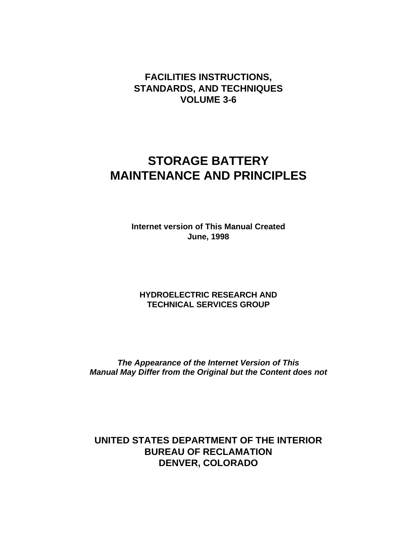# **FACILITIES INSTRUCTIONS, STANDARDS, AND TECHNIQUES VOLUME 3-6**

# **STORAGE BATTERY MAINTENANCE AND PRINCIPLES**

**Internet version of This Manual Created June, 1998**

## **HYDROELECTRIC RESEARCH AND TECHNICAL SERVICES GROUP**

*The Appearance of the Internet Version of This Manual May Differ from the Original but the Content does not*

**UNITED STATES DEPARTMENT OF THE INTERIOR BUREAU OF RECLAMATION DENVER, COLORADO**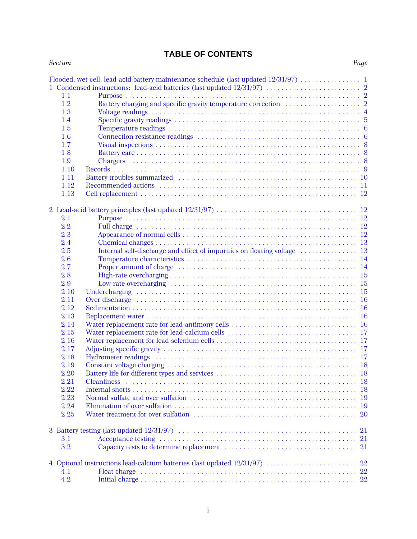# **TABLE OF CONTENTS**

| <b>Section</b> |                                                                                                                                                                                                                                | Page |
|----------------|--------------------------------------------------------------------------------------------------------------------------------------------------------------------------------------------------------------------------------|------|
|                |                                                                                                                                                                                                                                |      |
|                | 1 Condensed instructions: lead-acid batteries (last updated 12/31/97)  2                                                                                                                                                       |      |
| 1.1            |                                                                                                                                                                                                                                |      |
| 1.2            |                                                                                                                                                                                                                                |      |
| 1.3            |                                                                                                                                                                                                                                |      |
| 1.4            |                                                                                                                                                                                                                                |      |
| 1.5            |                                                                                                                                                                                                                                |      |
| 1.6            |                                                                                                                                                                                                                                |      |
| 1.7            |                                                                                                                                                                                                                                |      |
| 1.8            |                                                                                                                                                                                                                                |      |
| 1.9            |                                                                                                                                                                                                                                |      |
| 1.10           |                                                                                                                                                                                                                                |      |
| 1.11           |                                                                                                                                                                                                                                |      |
| 1.12           |                                                                                                                                                                                                                                |      |
| 1.13           |                                                                                                                                                                                                                                |      |
|                |                                                                                                                                                                                                                                |      |
|                |                                                                                                                                                                                                                                |      |
|                |                                                                                                                                                                                                                                |      |
| 2.1            |                                                                                                                                                                                                                                |      |
| 2.2            |                                                                                                                                                                                                                                |      |
| 2.3            |                                                                                                                                                                                                                                |      |
| 2.4            |                                                                                                                                                                                                                                |      |
| 2.5            |                                                                                                                                                                                                                                |      |
| 2.6            |                                                                                                                                                                                                                                |      |
| 2.7            |                                                                                                                                                                                                                                |      |
| 2.8            |                                                                                                                                                                                                                                |      |
| 2.9            |                                                                                                                                                                                                                                |      |
| 2.10           |                                                                                                                                                                                                                                |      |
| 2.11           | Over discharge expansion of the contract of the contract of the contract of the contract of the contract of the contract of the contract of the contract of the contract of the contract of the contract of the contract of th |      |
| 2.12           |                                                                                                                                                                                                                                |      |
| 2.13           |                                                                                                                                                                                                                                |      |
| 2.14           |                                                                                                                                                                                                                                |      |
| 2.15           |                                                                                                                                                                                                                                |      |
| 2.16           |                                                                                                                                                                                                                                |      |
| 2.17           |                                                                                                                                                                                                                                |      |
| 2.18           |                                                                                                                                                                                                                                |      |
| 2.19           |                                                                                                                                                                                                                                |      |
| 2.20           |                                                                                                                                                                                                                                |      |
| 2.21           |                                                                                                                                                                                                                                |      |
| 2.22           |                                                                                                                                                                                                                                |      |
| 2.23           |                                                                                                                                                                                                                                |      |
| 2.24           |                                                                                                                                                                                                                                |      |
| 2.25           |                                                                                                                                                                                                                                |      |
|                |                                                                                                                                                                                                                                |      |
|                |                                                                                                                                                                                                                                |      |
| 3.1            |                                                                                                                                                                                                                                |      |
| 3.2            |                                                                                                                                                                                                                                |      |
|                |                                                                                                                                                                                                                                |      |
|                | 4 Optional instructions lead-calcium batteries (last updated 12/31/97)  22                                                                                                                                                     |      |
| 4.1            |                                                                                                                                                                                                                                |      |
| 4.2            |                                                                                                                                                                                                                                |      |
|                |                                                                                                                                                                                                                                |      |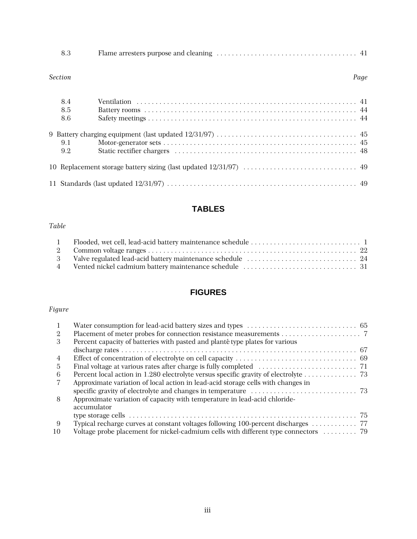#### *Section Page*

| 8.4<br>8.5<br>8.6 |  |
|-------------------|--|
| 9.1<br>9.2        |  |
|                   |  |
|                   |  |

# **TABLES**

## *Table*

# **FIGURES**

# *Figure*

| 9. |                                                                                     |  |
|----|-------------------------------------------------------------------------------------|--|
| 3  | Percent capacity of batteries with pasted and planté type plates for various        |  |
|    |                                                                                     |  |
| 4  |                                                                                     |  |
| 5  |                                                                                     |  |
| 6  | Percent local action in 1.280 electrolyte versus specific gravity of electrolyte 73 |  |
|    | Approximate variation of local action in lead-acid storage cells with changes in    |  |
|    |                                                                                     |  |
| 8  | Approximate variation of capacity with temperature in lead-acid chloride-           |  |
|    | accumulator                                                                         |  |
|    |                                                                                     |  |
| 9  |                                                                                     |  |
| 10 |                                                                                     |  |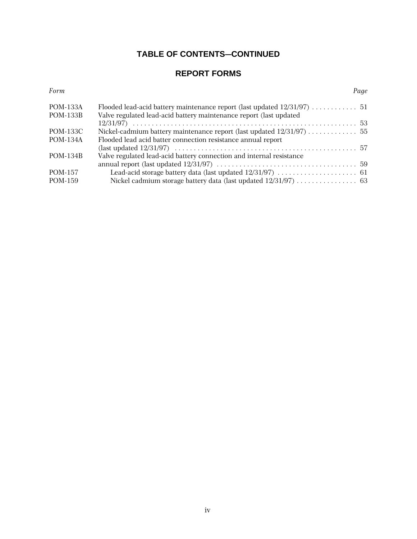# **TABLE OF CONTENTS-CONTINUED**

# **REPORT FORMS**

*Form Page*

| <b>POM-133A</b> |                                                                      |  |
|-----------------|----------------------------------------------------------------------|--|
| <b>POM-133B</b> | Valve regulated lead-acid battery maintenance report (last updated   |  |
|                 |                                                                      |  |
| POM-133C        | Nickel-cadmium battery maintenance report (last updated 12/31/97) 55 |  |
| <b>POM-134A</b> | Flooded lead acid batter connection resistance annual report         |  |
|                 |                                                                      |  |
| <b>POM-134B</b> | Valve regulated lead-acid battery connection and internal resistance |  |
|                 |                                                                      |  |
| POM-157         |                                                                      |  |
| POM-159         |                                                                      |  |
|                 |                                                                      |  |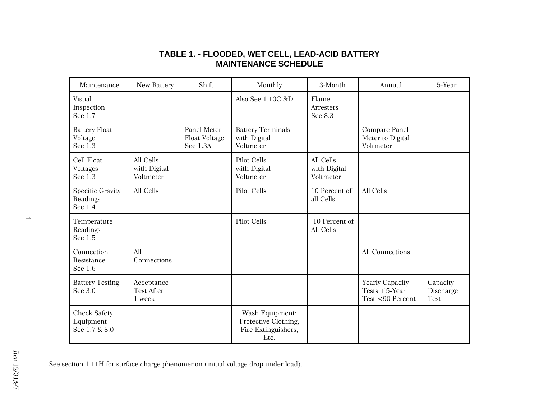| Maintenance                                       | New Battery                               | Shift                                           | Monthly                                                                | 3-Month                                | Annual                                                 | 5-Year                               |
|---------------------------------------------------|-------------------------------------------|-------------------------------------------------|------------------------------------------------------------------------|----------------------------------------|--------------------------------------------------------|--------------------------------------|
| Visual<br>Inspection<br>See 1.7                   |                                           |                                                 | Also See 1.10C &D                                                      | Flame<br>Arresters<br>See 8.3          |                                                        |                                      |
| <b>Battery Float</b><br>Voltage<br>See 1.3        |                                           | Panel Meter<br><b>Float Voltage</b><br>See 1.3A | <b>Battery Terminals</b><br>with Digital<br>Voltmeter                  |                                        | Compare Panel<br>Meter to Digital<br>Voltmeter         |                                      |
| Cell Float<br>Voltages<br>See 1.3                 | All Cells<br>with Digital<br>Voltmeter    |                                                 | Pilot Cells<br>with Digital<br>Voltmeter                               | All Cells<br>with Digital<br>Voltmeter |                                                        |                                      |
| <b>Specific Gravity</b><br>Readings<br>See 1.4    | All Cells                                 |                                                 | <b>Pilot Cells</b>                                                     | 10 Percent of<br>all Cells             | All Cells                                              |                                      |
| Temperature<br>Readings<br>See 1.5                |                                           |                                                 | <b>Pilot Cells</b>                                                     | 10 Percent of<br>All Cells             |                                                        |                                      |
| Connection<br>Resistance<br>See 1.6               | All<br>Connections                        |                                                 |                                                                        |                                        | All Connections                                        |                                      |
| <b>Battery Testing</b><br>See 3.0                 | Acceptance<br><b>Test After</b><br>1 week |                                                 |                                                                        |                                        | Yearly Capacity<br>Tests if 5-Year<br>Test <90 Percent | Capacity<br>Discharge<br><b>Test</b> |
| <b>Check Safety</b><br>Equipment<br>See 1.7 & 8.0 |                                           |                                                 | Wash Equipment;<br>Protective Clothing;<br>Fire Extinguishers,<br>Etc. |                                        |                                                        |                                      |

## **TABLE 1. - FLOODED, WET CELL, LEAD-ACID BATTERY MAINTENANCE SCHEDULE**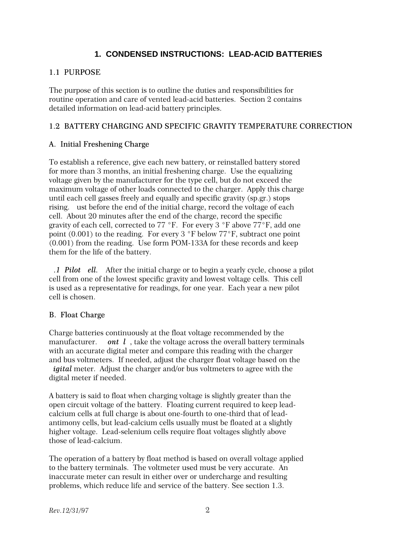## **1. CONDENSED INSTRUCTIONS: LEAD-ACID BATTERIES**

#### 1.1 PURPOSE

The purpose of this section is to outline the duties and responsibilities for routine operation and care of vented lead-acid batteries. Section 2 contains detailed information on lead-acid battery principles.

#### 1.2 BATTERY CHARGING AND SPECIFIC GRAVITY TEMPERATURE CORRECTION

#### A. Initial Freshening Charge

To establish a reference, give each new battery, or reinstalled battery stored for more than 3 months, an initial freshening charge. Use the equalizing voltage given by the manufacturer for the type cell, but do not exceed the maximum voltage of other loads connected to the charger. Apply this charge until each cell gasses freely and equally and specific gravity (sp.gr.) stops rising. ust before the end of the initial charge, record the voltage of each cell. About 20 minutes after the end of the charge, record the specific gravity of each cell, corrected to  $77 \text{ °F}$ . For every 3  $\text{ °F}$  above  $77 \text{ °F}$ , add one point  $(0.001)$  to the reading. For every 3 °F below 77°F, subtract one point (0.001) from the reading. Use form POM-133A for these records and keep them for the life of the battery.

*A.1 Pilot ell.* After the initial charge or to begin a yearly cycle, choose a pilot cell from one of the lowest specific gravity and lowest voltage cells. This cell is used as a representative for readings, for one year. Each year a new pilot cell is chosen.

#### B. Float Charge

Charge batteries continuously at the float voltage recommended by the manufacturer. ont l, take the voltage across the overall battery terminals with an accurate digital meter and compare this reading with the charger and bus voltmeters. If needed, adjust the charger float voltage based on the *igital* meter. Adjust the charger and/or bus voltmeters to agree with the digital meter if needed.

A battery is said to float when charging voltage is slightly greater than the open circuit voltage of the battery. Floating current required to keep leadcalcium cells at full charge is about one-fourth to one-third that of leadantimony cells, but lead-calcium cells usually must be floated at a slightly higher voltage. Lead-selenium cells require float voltages slightly above those of lead-calcium.

The operation of a battery by float method is based on overall voltage applied to the battery terminals. The voltmeter used must be very accurate. An inaccurate meter can result in either over or undercharge and resulting problems, which reduce life and service of the battery. See section 1.3.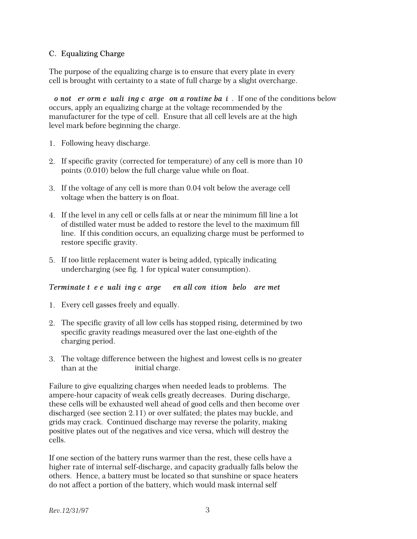#### C. Equalizing Charge

The purpose of the equalizing charge is to ensure that every plate in every cell is brought with certainty to a state of full charge by a slight overcharge.

*<i>p* not exterm e ualizing c arget on a routine ba i. If one of the conditions below occurs, apply an equalizing charge at the voltage recommended by the manufacturer for the type of cell. Ensure that all cell levels are at the high level mark before beginning the charge.

- 1. Following heavy discharge.
- 2. If specific gravity (corrected for temperature) of any cell is more than 10 points (0.010) below the full charge value while on float.
- 3. If the voltage of any cell is more than 0.04 volt below the average cell voltage when the battery is on float.
- 4. If the level in any cell or cells falls at or near the minimum fill line a lot of distilled water must be added to restore the level to the maximum fill line. If this condition occurs, an equalizing charge must be performed to restore specific gravity.
- 5. If too little replacement water is being added, typically indicating undercharging (see fig. 1 for typical water consumption).

#### *Terminate tee ualiing carge en all conition belo are met*

- 1. Every cell gasses freely and equally.
- 2. The specific gravity of all low cells has stopped rising, determined by two specific gravity readings measured over the last one-eighth of the charging period.
- 3. The voltage difference between the highest and lowest cells is no greater than at the initial charge.

Failure to give equalizing charges when needed leads to problems. The ampere-hour capacity of weak cells greatly decreases. During discharge, these cells will be exhausted well ahead of good cells and then become over discharged (see section 2.11) or over sulfated; the plates may buckle, and grids may crack. Continued discharge may reverse the polarity, making positive plates out of the negatives and vice versa, which will destroy the cells.

If one section of the battery runs warmer than the rest, these cells have a higher rate of internal self-discharge, and capacity gradually falls below the others. Hence, a battery must be located so that sunshine or space heaters do not affect a portion of the battery, which would mask internal self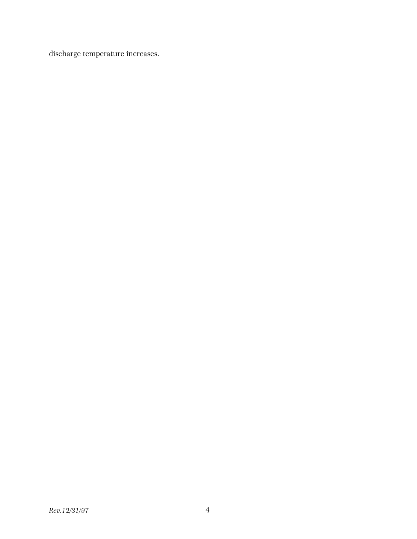discharge temperature increases.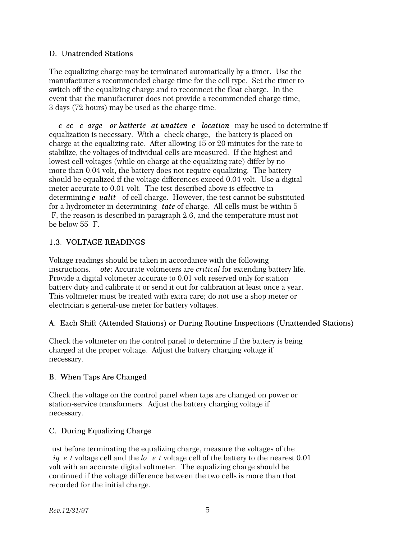#### D. Unattended Stations

The equalizing charge may be terminated automatically by a timer. Use the manufacturer's recommended charge time for the cell type. Set the timer to switch off the equalizing charge and to reconnect the float charge. In the event that the manufacturer does not provide a recommended charge time, 3 days (72 hours) may be used as the charge time.

*c ec c* arge or batterie at unatten *e* location may be used to determine if equalization is necessary. With a check charge, the battery is placed on charge at the equalizing rate. After allowing 15 or 20 minutes for the rate to stabilize, the voltages of individual cells are measured. If the highest and lowest cell voltages (while on charge at the equalizing rate) differ by no more than 0.04 volt, the battery does not require equalizing. The battery should be equalized if the voltage differences exceed 0.04 volt. Use a digital meter accurate to 0.01 volt. The test described above is effective in determining *e ualit* of cell charge. However, the test cannot be substituted for a hydrometer in determining *tate* of charge. All cells must be within 5 F, the reason is described in paragraph 2.6, and the temperature must not be below  $55$  F.

## 1.3. VOLTAGE READINGS

Voltage readings should be taken in accordance with the following instructions. *ote*: Accurate voltmeters are *critical* for extending battery life. Provide a digital voltmeter accurate to 0.01 volt reserved only for station battery duty and calibrate it or send it out for calibration at least once a year. This voltmeter must be treated with extra care; do not use a shop meter or electrician's general-use meter for battery voltages.

## A. Each Shift (Attended Stations) or During Routine Inspections (Unattended Stations)

Check the voltmeter on the control panel to determine if the battery is being charged at the proper voltage. Adjust the battery charging voltage if necessary.

## B. When Taps Are Changed

Check the voltage on the control panel when taps are changed on power or station-service transformers. Adjust the battery charging voltage if necessary.

## C. During Equalizing Charge

ust before terminating the equalizing charge, measure the voltages of the *ightarrow ightage cell and the lowest voltage cell of the battery to the nearest 0.01* volt with an accurate digital voltmeter. The equalizing charge should be continued if the voltage difference between the two cells is more than that recorded for the initial charge.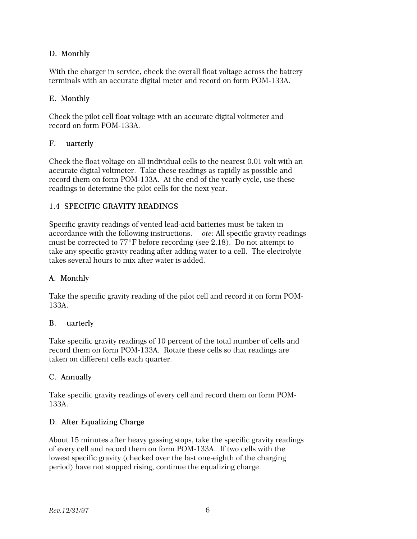## D. Monthly

With the charger in service, check the overall float voltage across the battery terminals with an accurate digital meter and record on form POM-133A.

## E. Monthly

Check the pilot cell float voltage with an accurate digital voltmeter and record on form POM-133A.

## F. uarterly

Check the float voltage on all individual cells to the nearest 0.01 volt with an accurate digital voltmeter. Take these readings as rapidly as possible and record them on form POM-133A. At the end of the yearly cycle, use these readings to determine the pilot cells for the next year.

## 1.4 SPECIFIC GRAVITY READINGS

Specific gravity readings of vented lead-acid batteries must be taken in accordance with the following instructions. *ote*: All specific gravity readings must be corrected to  $77^{\circ}$ F before recording (see 2.18). Do not attempt to take any specific gravity reading after adding water to a cell. The electrolyte takes several hours to mix after water is added.

## A. Monthly

Take the specific gravity reading of the pilot cell and record it on form POM-133A.

## B. uarterly

Take specific gravity readings of 10 percent of the total number of cells and record them on form POM-133A. Rotate these cells so that readings are taken on different cells each quarter.

## C. Annually

Take specific gravity readings of every cell and record them on form POM-133A.

## D. After Equalizing Charge

About 15 minutes after heavy gassing stops, take the specific gravity readings of every cell and record them on form POM-133A. If two cells with the lowest specific gravity (checked over the last one-eighth of the charging period) have not stopped rising, continue the equalizing charge.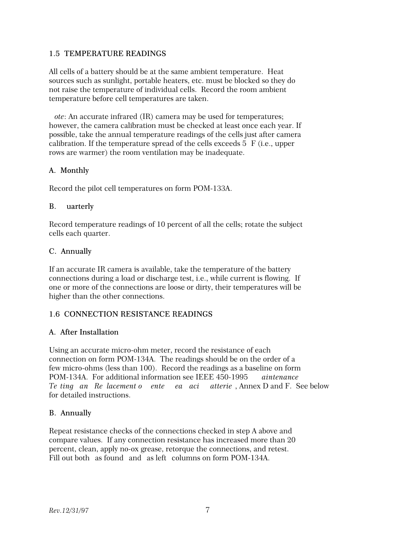#### 1.5 TEMPERATURE READINGS

All cells of a battery should be at the same ambient temperature. Heat sources such as sunlight, portable heaters, etc. must be blocked so they do not raise the temperature of individual cells. Record the room ambient temperature before cell temperatures are taken.

*ote*: An accurate infrared (IR) camera may be used for temperatures; however, the camera calibration must be checked at least once each year. If possible, take the annual temperature readings of the cells just after camera calibration. If the temperature spread of the cells exceeds  $5 \text{ F}$  (i.e., upper rows are warmer) the room ventilation may be inadequate.

#### A. Monthly

Record the pilot cell temperatures on form POM-133A.

#### B. uarterly

Record temperature readings of 10 percent of all the cells; rotate the subject cells each quarter.

#### C. Annually

If an accurate IR camera is available, take the temperature of the battery connections during a load or discharge test, i.e., while current is flowing. If one or more of the connections are loose or dirty, their temperatures will be higher than the other connections.

#### 1.6 CONNECTION RESISTANCE READINGS

#### A. After Installation

Using an accurate micro-ohm meter, record the resistance of each connection on form POM-134A. The readings should be on the order of a few micro-ohms (less than 100). Record the readings as a baseline on form POM-134A. For additional information see IEEE 450-1995 *aintenance Te ting an Replacement of ente ea acid atterie*, Annex D and F. See below for detailed instructions.

#### B. Annually

Repeat resistance checks of the connections checked in step A above and compare values. If any connection resistance has increased more than 20 percent, clean, apply no-ox grease, retorque the connections, and retest. Fill out both as found and as left columns on form POM-134A.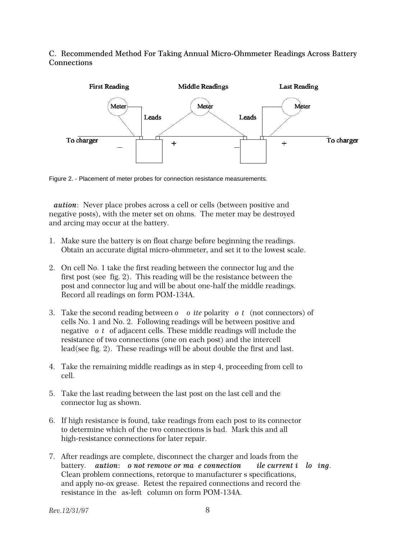C. Recommended Method For Taking Annual Micro-Ohmmeter Readings Across Battery **Connections** 



Figure 2. - Placement of meter probes for connection resistance measurements.

*aution*: Never place probes across a cell or cells (between positive and negative posts), with the meter set on ohms. The meter may be destroyed and arcing may occur at the battery.

- 1. Make sure the battery is on float charge before beginning the readings. Obtain an accurate digital micro-ohmmeter, and set it to the lowest scale.
- 2. On cell No. 1 take the first reading between the connector lug and the first post (see fig. 2). This reading will be the resistance between the post and connector lug and will be about one-half the middle readings. Record all readings on form POM-134A.
- 3. Take the second reading between *o o* ite polarity *ot* (not connectors) of cells No. 1 and No. 2. Following readings will be between positive and negative *ot* of adjacent cells. These middle readings will include the resistance of two connections (one on each post) and the intercell lead(see fig. 2). These readings will be about double the first and last.
- 4. Take the remaining middle readings as in step 4, proceeding from cell to cell.
- 5. Take the last reading between the last post on the last cell and the connector lug as shown.
- 6. If high resistance is found, take readings from each post to its connector to determine which of the two connections is bad. Mark this and all high-resistance connections for later repair.
- 7. After readings are complete, disconnect the charger and loads from the battery. *aution*: *o not remove or ma e connection ile current i lo ing.* Clean problem connections, retorque to manufacturer s specifications, and apply no-ox grease. Retest the repaired connections and record the resistance in the as-left column on form POM-134A.

*Rev.12/31/97* 8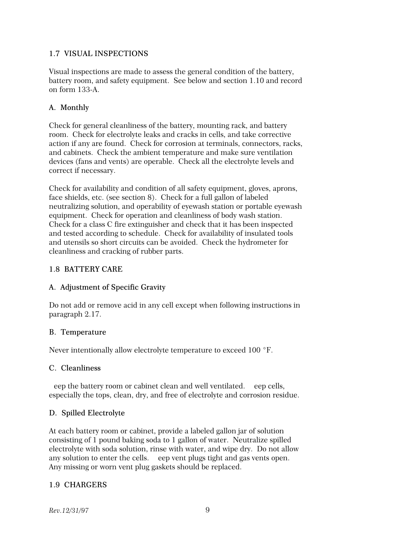#### 1.7 VISUAL INSPECTIONS

Visual inspections are made to assess the general condition of the battery, battery room, and safety equipment. See below and section 1.10 and record on form 133-A.

## A. Monthly

Check for general cleanliness of the battery, mounting rack, and battery room. Check for electrolyte leaks and cracks in cells, and take corrective action if any are found. Check for corrosion at terminals, connectors, racks, and cabinets. Check the ambient temperature and make sure ventilation devices (fans and vents) are operable. Check all the electrolyte levels and correct if necessary.

Check for availability and condition of all safety equipment, gloves, aprons, face shields, etc. (see section 8). Check for a full gallon of labeled neutralizing solution, and operability of eyewash station or portable eyewash equipment. Check for operation and cleanliness of body wash station. Check for a class C fire extinguisher and check that it has been inspected and tested according to schedule. Check for availability of insulated tools and utensils so short circuits can be avoided. Check the hydrometer for cleanliness and cracking of rubber parts.

#### 1.8 BATTERY CARE

## A. Adjustment of Specific Gravity

Do not add or remove acid in any cell except when following instructions in paragraph 2.17.

## B. Temperature

Never intentionally allow electrolyte temperature to exceed  $100 °F$ .

#### C. Cleanliness

eep the battery room or cabinet clean and well ventilated. eep cells, especially the tops, clean, dry, and free of electrolyte and corrosion residue.

## D. Spilled Electrolyte

At each battery room or cabinet, provide a labeled gallon jar of solution consisting of 1 pound baking soda to 1 gallon of water. Neutralize spilled electrolyte with soda solution, rinse with water, and wipe dry. Do not allow any solution to enter the cells. eep vent plugs tight and gas vents open. Any missing or worn vent plug gaskets should be replaced.

## 1.9 CHARGERS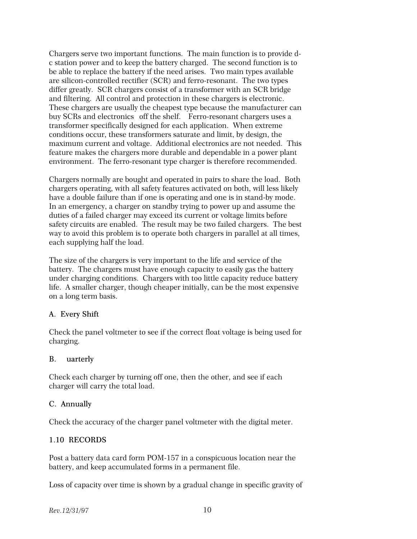Chargers serve two important functions. The main function is to provide dc station power and to keep the battery charged. The second function is to be able to replace the battery if the need arises. Two main types available are silicon-controlled rectifier (SCR) and ferro-resonant. The two types differ greatly. SCR chargers consist of a transformer with an SCR bridge and filtering. All control and protection in these chargers is electronic. These chargers are usually the cheapest type because the manufacturer can buy SCRs and electronics off the shelf. Ferro-resonant chargers uses a transformer specifically designed for each application. When extreme conditions occur, these transformers saturate and limit, by design, the maximum current and voltage. Additional electronics are not needed. This feature makes the chargers more durable and dependable in a power plant environment. The ferro-resonant type charger is therefore recommended.

Chargers normally are bought and operated in pairs to share the load. Both chargers operating, with all safety features activated on both, will less likely have a double failure than if one is operating and one is in stand-by mode. In an emergency, a charger on standby trying to power up and assume the duties of a failed charger may exceed its current or voltage limits before safety circuits are enabled. The result may be two failed chargers. The best way to avoid this problem is to operate both chargers in parallel at all times, each supplying half the load.

The size of the chargers is very important to the life and service of the battery. The chargers must have enough capacity to easily gas the battery under charging conditions. Chargers with too little capacity reduce battery life. A smaller charger, though cheaper initially, can be the most expensive on a long term basis.

## A. Every Shift

Check the panel voltmeter to see if the correct float voltage is being used for charging.

## B. uarterly

Check each charger by turning off one, then the other, and see if each charger will carry the total load.

## C. Annually

Check the accuracy of the charger panel voltmeter with the digital meter.

## 1.10 RECORDS

Post a battery data card form POM-157 in a conspicuous location near the battery, and keep accumulated forms in a permanent file.

Loss of capacity over time is shown by a gradual change in specific gravity of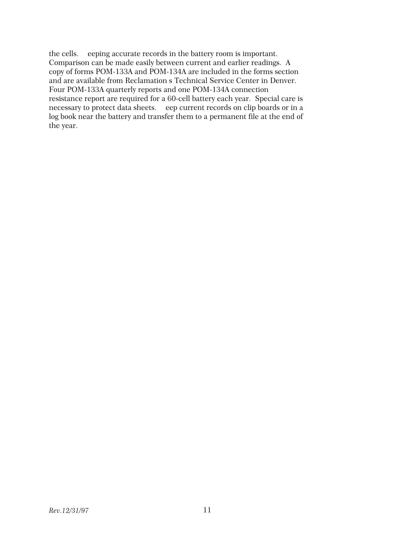the cells. eeping accurate records in the battery room is important. Comparison can be made easily between current and earlier readings. A copy of forms POM-133A and POM-134A are included in the forms section and are available from Reclamation's Technical Service Center in Denver. Four POM-133A quarterly reports and one POM-134A connection resistance report are required for a 60-cell battery each year. Special care is necessary to protect data sheets. eep current records on clip boards or in a log book near the battery and transfer them to a permanent file at the end of the year.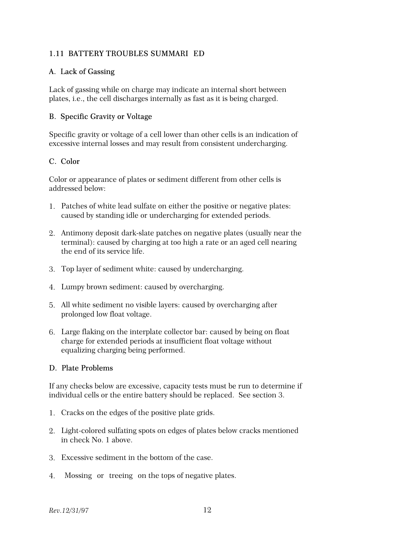#### 1.11 BATTERY TROUBLES SUMMARI ED

#### A. Lack of Gassing

Lack of gassing while on charge may indicate an internal short between plates, i.e., the cell discharges internally as fast as it is being charged.

#### B. Specific Gravity or Voltage

Specific gravity or voltage of a cell lower than other cells is an indication of excessive internal losses and may result from consistent undercharging.

#### C. Color

Color or appearance of plates or sediment different from other cells is addressed below:

- 1. Patches of white lead sulfate on either the positive or negative plates: caused by standing idle or undercharging for extended periods.
- 2. Antimony deposit dark-slate patches on negative plates (usually near the terminal): caused by charging at too high a rate or an aged cell nearing the end of its service life.
- 3. Top layer of sediment white: caused by undercharging.
- 4. Lumpy brown sediment: caused by overcharging.
- 5. All white sediment no visible layers: caused by overcharging after prolonged low float voltage.
- 6. Large flaking on the interplate collector bar: caused by being on float charge for extended periods at insufficient float voltage without equalizing charging being performed.

#### D. Plate Problems

If any checks below are excessive, capacity tests must be run to determine if individual cells or the entire battery should be replaced. See section 3.

- 1. Cracks on the edges of the positive plate grids.
- 2. Light-colored sulfating spots on edges of plates below cracks mentioned in check No. 1 above.
- 3. Excessive sediment in the bottom of the case.
- 4. Mossing or treeing on the tops of negative plates.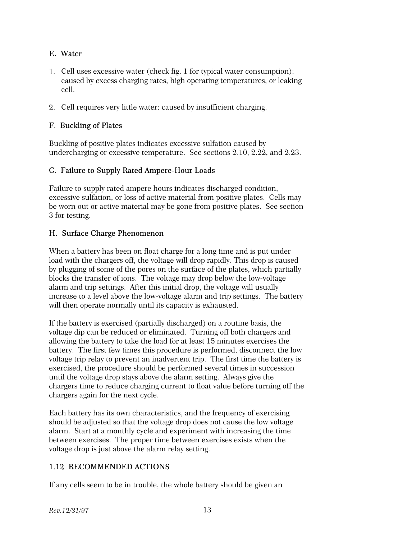## E. Water

- 1. Cell uses excessive water (check fig. 1 for typical water consumption): caused by excess charging rates, high operating temperatures, or leaking cell.
- 2. Cell requires very little water: caused by insufficient charging.

## F. Buckling of Plates

Buckling of positive plates indicates excessive sulfation caused by undercharging or excessive temperature. See sections 2.10, 2.22, and 2.23.

## G. Failure to Supply Rated Ampere-Hour Loads

Failure to supply rated ampere hours indicates discharged condition, excessive sulfation, or loss of active material from positive plates. Cells may be worn out or active material may be gone from positive plates. See section 3 for testing.

## H. Surface Charge Phenomenon

When a battery has been on float charge for a long time and is put under load with the chargers off, the voltage will drop rapidly. This drop is caused by plugging of some of the pores on the surface of the plates, which partially blocks the transfer of ions. The voltage may drop below the low-voltage alarm and trip settings. After this initial drop, the voltage will usually increase to a level above the low-voltage alarm and trip settings. The battery will then operate normally until its capacity is exhausted.

If the battery is exercised (partially discharged) on a routine basis, the voltage dip can be reduced or eliminated. Turning off both chargers and allowing the battery to take the load for at least 15 minutes exercises the battery. The first few times this procedure is performed, disconnect the low voltage trip relay to prevent an inadvertent trip. The first time the battery is exercised, the procedure should be performed several times in succession until the voltage drop stays above the alarm setting. Always give the chargers time to reduce charging current to float value before turning off the chargers again for the next cycle.

Each battery has its own characteristics, and the frequency of exercising should be adjusted so that the voltage drop does not cause the low voltage alarm. Start at a monthly cycle and experiment with increasing the time between exercises. The proper time between exercises exists when the voltage drop is just above the alarm relay setting.

## 1.12 RECOMMENDED ACTIONS

If any cells seem to be in trouble, the whole battery should be given an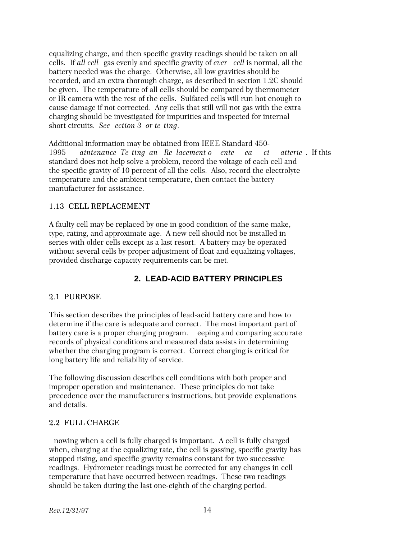equalizing charge, and then specific gravity readings should be taken on all cells. If *all cell* gas evenly and specific gravity of *ever* cell is normal, all the battery needed was the charge. Otherwise, all low gravities should be recorded, and an extra thorough charge, as described in section 1.2C should be given. The temperature of all cells should be compared by thermometer or IR camera with the rest of the cells. Sulfated cells will run hot enough to cause damage if not corrected. Any cells that still will not gas with the extra charging should be investigated for impurities and inspected for internal short circuits. *See ection 3 or te ting*.

Additional information may be obtained from IEEE Standard 450- 1995 aintenance Te ting an Replacement of enterpretational atteries. If this standard does not help solve a problem, record the voltage of each cell and the specific gravity of 10 percent of all the cells. Also, record the electrolyte temperature and the ambient temperature, then contact the battery manufacturer for assistance.

#### 1.13 CELL REPLACEMENT

A faulty cell may be replaced by one in good condition of the same make, type, rating, and approximate age. A new cell should not be installed in series with older cells except as a last resort. A battery may be operated without several cells by proper adjustment of float and equalizing voltages, provided discharge capacity requirements can be met.

## **2. LEAD-ACID BATTERY PRINCIPLES**

#### 2.1 PURPOSE

This section describes the principles of lead-acid battery care and how to determine if the care is adequate and correct. The most important part of battery care is a proper charging program. eeping and comparing accurate records of physical conditions and measured data assists in determining whether the charging program is correct. Correct charging is critical for long battery life and reliability of service.

The following discussion describes cell conditions with both proper and improper operation and maintenance. These principles do not take precedence over the manufacturer's instructions, but provide explanations and details.

## 2.2 FULL CHARGE

nowing when a cell is fully charged is important. A cell is fully charged when, charging at the equalizing rate, the cell is gassing, specific gravity has stopped rising, and specific gravity remains constant for two successive readings. Hydrometer readings must be corrected for any changes in cell temperature that have occurred between readings. These two readings should be taken during the last one-eighth of the charging period.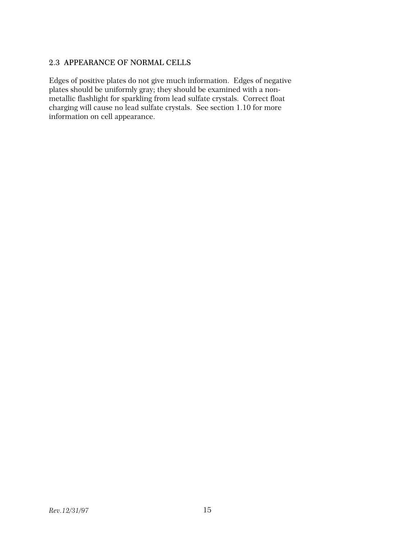## 2.3 APPEARANCE OF NORMAL CELLS

Edges of positive plates do not give much information. Edges of negative plates should be uniformly gray; they should be examined with a nonmetallic flashlight for sparkling from lead sulfate crystals. Correct float charging will cause no lead sulfate crystals. See section 1.10 for more information on cell appearance.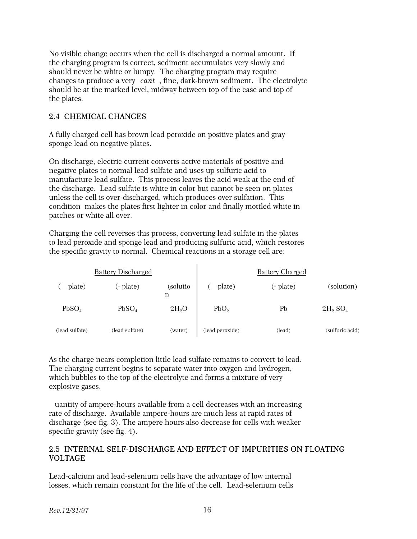No visible change occurs when the cell is discharged a normal amount. If the charging program is correct, sediment accumulates very slowly and should never be white or lumpy. The charging program may require changes to produce a very *cant*, fine, dark-brown sediment. The electrolyte should be at the marked level, midway between top of the case and top of the plates.

#### 2.4 CHEMICAL CHANGES

A fully charged cell has brown lead peroxide on positive plates and gray sponge lead on negative plates.

On discharge, electric current converts active materials of positive and negative plates to normal lead sulfate and uses up sulfuric acid to manufacture lead sulfate. This process leaves the acid weak at the end of the discharge. Lead sulfate is white in color but cannot be seen on plates unless the cell is over-discharged, which produces over sulfation. This condition makes the plates first lighter in color and finally mottled white in patches or white all over.

Charging the cell reverses this process, converting lead sulfate in the plates to lead peroxide and sponge lead and producing sulfuric acid, which restores the specific gravity to normal. Chemical reactions in a storage cell are:

|                   | <b>Battery Discharged</b> |               |                  | <b>Battery Charged</b> |                        |
|-------------------|---------------------------|---------------|------------------|------------------------|------------------------|
| plate)            | (- plate)                 | (solutio<br>n | plate)           | (- plate)              | (solution)             |
| PbSO <sub>4</sub> | PbSO <sub>4</sub>         | $2H_2O$       | PbO <sub>2</sub> | Pb                     | $2H_2$ SO <sub>4</sub> |
| (lead sulfate)    | (lead sulfate)            | (water)       | (lead peroxide)  | (lead)                 | (sulfuric acid)        |

As the charge nears completion little lead sulfate remains to convert to lead. The charging current begins to separate water into oxygen and hydrogen, which bubbles to the top of the electrolyte and forms a mixture of very explosive gases.

uantity of ampere-hours available from a cell decreases with an increasing rate of discharge. Available ampere-hours are much less at rapid rates of discharge (see fig. 3). The ampere hours also decrease for cells with weaker specific gravity (see fig. 4).

#### 2.5 INTERNAL SELF-DISCHARGE AND EFFECT OF IMPURITIES ON FLOATING VOLTAGE

Lead-calcium and lead-selenium cells have the advantage of low internal losses, which remain constant for the life of the cell. Lead-selenium cells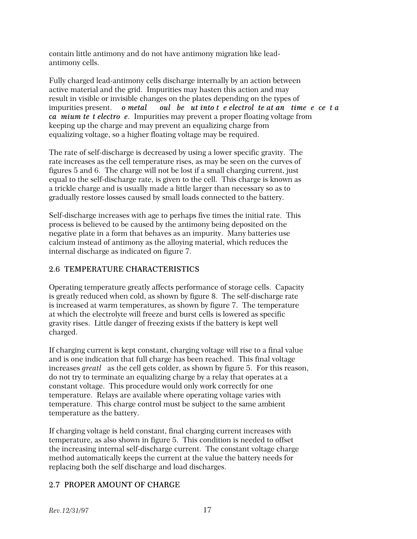contain little antimony and do not have antimony migration like leadantimony cells.

Fully charged lead-antimony cells discharge internally by an action between active material and the grid. Impurities may hasten this action and may result in visible or invisible changes on the plates depending on the types of impurities present. *o metal* oul be ut into t e electrol te at an time e ce t a *ca mium te t electro e.* Impurities may prevent a proper floating voltage from keeping up the charge and may prevent an equalizing charge from equalizing voltage, so a higher floating voltage may be required.

The rate of self-discharge is decreased by using a lower specific gravity. The rate increases as the cell temperature rises, as may be seen on the curves of figures 5 and 6. The charge will not be lost if a small charging current, just equal to the self-discharge rate, is given to the cell. This charge is known as a trickle charge and is usually made a little larger than necessary so as to gradually restore losses caused by small loads connected to the battery.

Self-discharge increases with age to perhaps five times the initial rate. This process is believed to be caused by the antimony being deposited on the negative plate in a form that behaves as an impurity. Many batteries use calcium instead of antimony as the alloying material, which reduces the internal discharge as indicated on figure 7.

## 2.6 TEMPERATURE CHARACTERISTICS

Operating temperature greatly affects performance of storage cells. Capacity is greatly reduced when cold, as shown by figure 8. The self-discharge rate is increased at warm temperatures, as shown by figure 7. The temperature at which the electrolyte will freeze and burst cells is lowered as specific gravity rises. Little danger of freezing exists if the battery is kept well charged.

If charging current is kept constant, charging voltage will rise to a final value and is one indication that full charge has been reached. This final voltage increases *greatl* as the cell gets colder, as shown by figure 5. For this reason, do not try to terminate an equalizing charge by a relay that operates at a constant voltage. This procedure would only work correctly for one temperature. Relays are available where operating voltage varies with temperature. This charge control must be subject to the same ambient temperature as the battery.

If charging voltage is held constant, final charging current increases with temperature, as also shown in figure 5. This condition is needed to offset the increasing internal self-discharge current. The constant voltage charge method automatically keeps the current at the value the battery needs for replacing both the self discharge and load discharges.

## 2.7 PROPER AMOUNT OF CHARGE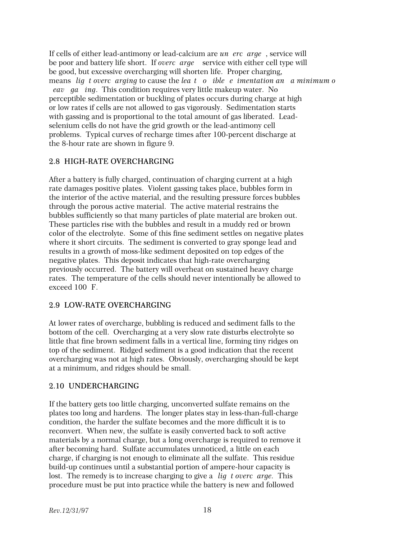If cells of either lead-antimony or lead-calcium are *undercharged*, service will be poor and battery life short. If *overcharged,* service with either cell type will be good, but excessive overcharging will shorten life. Proper charging, means *lig t overcarging* to cause the *leat o ible e imentation and a minimum of eav ga ing.* This condition requires very little makeup water. No perceptible sedimentation or buckling of plates occurs during charge at high or low rates if cells are not allowed to gas vigorously. Sedimentation starts with gassing and is proportional to the total amount of gas liberated. Leadselenium cells do not have the grid growth or the lead-antimony cell problems. Typical curves of recharge times after 100-percent discharge at the 8-hour rate are shown in figure 9.

## 2.8 HIGH-RATE OVERCHARGING

After a battery is fully charged, continuation of charging current at a high rate damages positive plates. Violent gassing takes place, bubbles form in the interior of the active material, and the resulting pressure forces bubbles through the porous active material. The active material restrains the bubbles sufficiently so that many particles of plate material are broken out. These particles rise with the bubbles and result in a muddy red or brown color of the electrolyte. Some of this fine sediment settles on negative plates where it short circuits. The sediment is converted to gray sponge lead and results in a growth of moss-like sediment deposited on top edges of the negative plates. This deposit indicates that high-rate overcharging previously occurred. The battery will overheat on sustained heavy charge rates. The temperature of the cells should never intentionally be allowed to exceed  $100$  F.

## 2.9 LOW-RATE OVERCHARGING

At lower rates of overcharge, bubbling is reduced and sediment falls to the bottom of the cell. Overcharging at a very slow rate disturbs electrolyte so little that fine brown sediment falls in a vertical line, forming tiny ridges on top of the sediment. Ridged sediment is a good indication that the recent overcharging was not at high rates. Obviously, overcharging should be kept at a minimum, and ridges should be small.

#### 2.10 UNDERCHARGING

If the battery gets too little charging, unconverted sulfate remains on the plates too long and hardens. The longer plates stay in less-than-full-charge condition, the harder the sulfate becomes and the more difficult it is to reconvert. When new, the sulfate is easily converted back to soft active materials by a normal charge, but a long overcharge is required to remove it after becoming hard. Sulfate accumulates unnoticed, a little on each charge, if charging is not enough to eliminate all the sulfate. This residue build-up continues until a substantial portion of ampere-hour capacity is lost. The remedy is to increase charging to give a *lig t overc arge*. This procedure must be put into practice while the battery is new and followed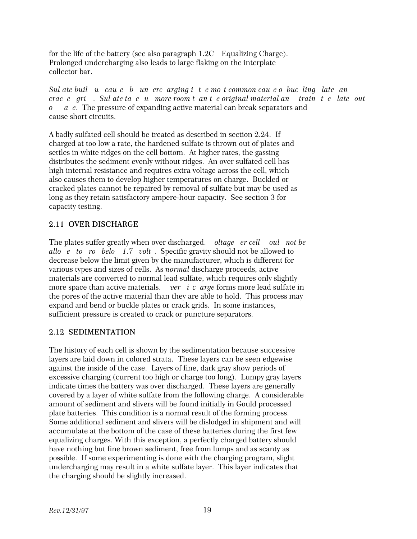for the life of the battery (see also paragraph 1.2C—Equalizing Charge). Prolonged undercharging also leads to large flaking on the interplate collector bar.

*Sul ate buil u cau e b un ercarging it e mot common cau e o bucling late an crace grids. Sul ate taeumore room tante original material and train teles out o a e*. The pressure of expanding active material can break separators and cause short circuits.

A badly sulfated cell should be treated as described in section 2.24. If charged at too low a rate, the hardened sulfate is thrown out of plates and settles in white ridges on the cell bottom. At higher rates, the gassing distributes the sediment evenly without ridges. An over sulfated cell has high internal resistance and requires extra voltage across the cell, which also causes them to develop higher temperatures on charge. Buckled or cracked plates cannot be repaired by removal of sulfate but may be used as long as they retain satisfactory ampere-hour capacity. See section 3 for capacity testing.

## 2.11 OVER DISCHARGE

The plates suffer greatly when over discharged. *oltage er cell oul not be allo e to ro belo 1.7 volt.* Specific gravity should not be allowed to decrease below the limit given by the manufacturer, which is different for various types and sizes of cells. As *normal* discharge proceeds, active materials are converted to normal lead sulfate, which requires only slightly more space than active materials. *ver i c arge* forms more lead sulfate in the pores of the active material than they are able to hold. This process may expand and bend or buckle plates or crack grids. In some instances, sufficient pressure is created to crack or puncture separators.

## 2.12 SEDIMENTATION

The history of each cell is shown by the sedimentation because successive layers are laid down in colored strata. These layers can be seen edgewise against the inside of the case. Layers of fine, dark gray show periods of excessive charging (current too high or charge too long). Lumpy gray layers indicate times the battery was over discharged. These layers are generally covered by a layer of white sulfate from the following charge. A considerable amount of sediment and slivers will be found initially in Gould processed plate batteries. This condition is a normal result of the forming process. Some additional sediment and slivers will be dislodged in shipment and will accumulate at the bottom of the case of these batteries during the first few equalizing charges. With this exception, a perfectly charged battery should have nothing but fine brown sediment, free from lumps and as scanty as possible. If some experimenting is done with the charging program, slight undercharging may result in a white sulfate layer. This layer indicates that the charging should be slightly increased.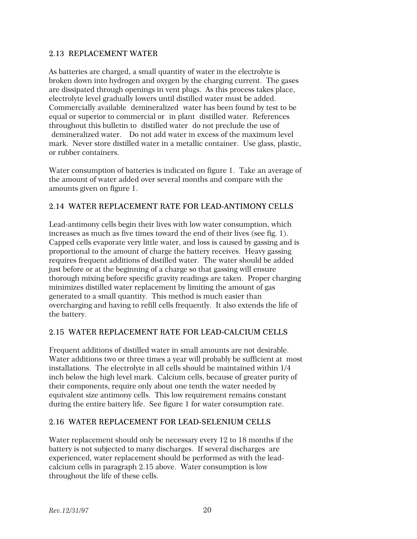#### 2.13 REPLACEMENT WATER

As batteries are charged, a small quantity of water in the electrolyte is broken down into hydrogen and oxygen by the charging current. The gases are dissipated through openings in vent plugs. As this process takes place, electrolyte level gradually lowers until distilled water must be added. Commercially available demineralized water has been found by test to be equal or superior to commercial or in plant distilled water. References throughout this bulletin to distilled water do not preclude the use of demineralized water. Do not add water in excess of the maximum level mark. Never store distilled water in a metallic container. Use glass, plastic, or rubber containers.

Water consumption of batteries is indicated on figure 1. Take an average of the amount of water added over several months and compare with the amounts given on figure 1.

## 2.14 WATER REPLACEMENT RATE FOR LEAD-ANTIMONY CELLS

Lead-antimony cells begin their lives with low water consumption, which increases as much as five times toward the end of their lives (see fig. 1). Capped cells evaporate very little water, and loss is caused by gassing and is proportional to the amount of charge the battery receives. Heavy gassing requires frequent additions of distilled water. The water should be added just before or at the beginning of a charge so that gassing will ensure thorough mixing before specific gravity readings are taken. Proper charging minimizes distilled water replacement by limiting the amount of gas generated to a small quantity. This method is much easier than overcharging and having to refill cells frequently. It also extends the life of the battery.

## 2.15 WATER REPLACEMENT RATE FOR LEAD-CALCIUM CELLS

Frequent additions of distilled water in small amounts are not desirable. Water additions two or three times a year will probably be sufficient at most installations. The electrolyte in all cells should be maintained within 1/4 inch below the high level mark. Calcium cells, because of greater purity of their components, require only about one tenth the water needed by equivalent size antimony cells. This low requirement remains constant during the entire battery life. See figure 1 for water consumption rate.

## 2.16 WATER REPLACEMENT FOR LEAD-SELENIUM CELLS

Water replacement should only be necessary every 12 to 18 months if the battery is not subjected to many discharges. If several discharges are experienced, water replacement should be performed as with the leadcalcium cells in paragraph 2.15 above. Water consumption is low throughout the life of these cells.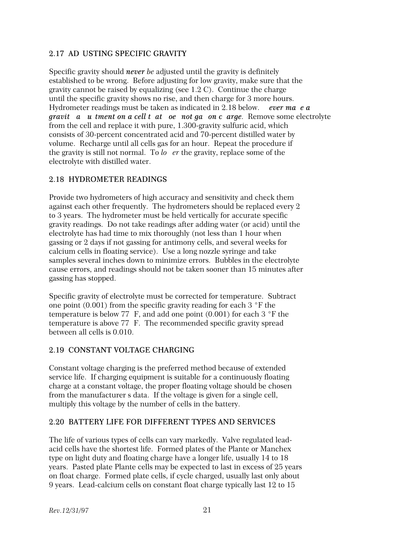## 2.17 AD USTING SPECIFIC GRAVITY

Specific gravity should *never be* adjusted until the gravity is definitely established to be wrong. Before adjusting for low gravity, make sure that the gravity cannot be raised by equalizing (see 1.2 C). Continue the charge until the specific gravity shows no rise, and then charge for 3 more hours. Hydrometer readings must be taken as indicated in 2.18 below. *ever ma e a gravit a u tment on a cell t at oe not ga on c arge.* Remove some electrolyte from the cell and replace it with pure, 1.300-gravity sulfuric acid, which consists of 30-percent concentrated acid and 70-percent distilled water by volume. Recharge until all cells gas for an hour. Repeat the procedure if the gravity is still not normal. To *lower* the gravity, replace some of the electrolyte with distilled water.

## 2.18 HYDROMETER READINGS

Provide two hydrometers of high accuracy and sensitivity and check them against each other frequently. The hydrometers should be replaced every 2 to 3 years. The hydrometer must be held vertically for accurate specific gravity readings. Do not take readings after adding water (or acid) until the electrolyte has had time to mix thoroughly (not less than 1 hour when gassing or 2 days if not gassing for antimony cells, and several weeks for calcium cells in floating service). Use a long nozzle syringe and take samples several inches down to minimize errors. Bubbles in the electrolyte cause errors, and readings should not be taken sooner than 15 minutes after gassing has stopped.

Specific gravity of electrolyte must be corrected for temperature. Subtract one point  $(0.001)$  from the specific gravity reading for each 3  $\degree$ F the temperature is below 77 F, and add one point  $(0.001)$  for each 3 °F the temperature is above 77 F. The recommended specific gravity spread between all cells is 0.010.

## 2.19 CONSTANT VOLTAGE CHARGING

Constant voltage charging is the preferred method because of extended service life. If charging equipment is suitable for a continuously floating charge at a constant voltage, the proper floating voltage should be chosen from the manufacturer s data. If the voltage is given for a single cell, multiply this voltage by the number of cells in the battery.

## 2.20 BATTERY LIFE FOR DIFFERENT TYPES AND SERVICES

The life of various types of cells can vary markedly. Valve regulated leadacid cells have the shortest life. Formed plates of the Plante or Manchex type on light duty and floating charge have a longer life, usually 14 to 18 years. Pasted plate Plante cells may be expected to last in excess of 25 years on float charge. Formed plate cells, if cycle charged, usually last only about 9 years. Lead-calcium cells on constant float charge typically last 12 to 15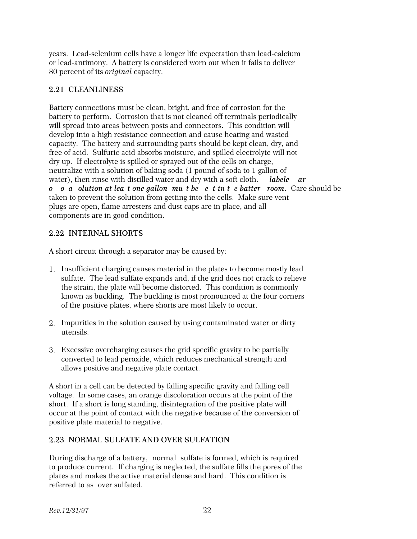years. Lead-selenium cells have a longer life expectation than lead-calcium or lead-antimony. A battery is considered worn out when it fails to deliver 80 percent of its *original* capacity.

## 2.21 CLEANLINESS

Battery connections must be clean, bright, and free of corrosion for the battery to perform. Corrosion that is not cleaned off terminals periodically will spread into areas between posts and connectors. This condition will develop into a high resistance connection and cause heating and wasted capacity. The battery and surrounding parts should be kept clean, dry, and free of acid. Sulfuric acid absorbs moisture, and spilled electrolyte will not dry up. If electrolyte is spilled or sprayed out of the cells on charge, neutralize with a solution of baking soda (1 pound of soda to 1 gallon of water), then rinse with distilled water and dry with a soft cloth. *labele* ar *o o* a *olution at lea t one gallon mut be e t in t e batter room. Care should be* taken to prevent the solution from getting into the cells. Make sure vent plugs are open, flame arresters and dust caps are in place, and all components are in good condition.

## 2.22 INTERNAL SHORTS

A short circuit through a separator may be caused by:

- 1. Insufficient charging causes material in the plates to become mostly lead sulfate. The lead sulfate expands and, if the grid does not crack to relieve the strain, the plate will become distorted. This condition is commonly known as buckling. The buckling is most pronounced at the four corners of the positive plates, where shorts are most likely to occur.
- 2. Impurities in the solution caused by using contaminated water or dirty utensils.
- 3. Excessive overcharging causes the grid specific gravity to be partially converted to lead peroxide, which reduces mechanical strength and allows positive and negative plate contact.

A short in a cell can be detected by falling specific gravity and falling cell voltage. In some cases, an orange discoloration occurs at the point of the short. If a short is long standing, disintegration of the positive plate will occur at the point of contact with the negative because of the conversion of positive plate material to negative.

## 2.23 NORMAL SULFATE AND OVER SULFATION

During discharge of a battery, normal sulfate is formed, which is required to produce current. If charging is neglected, the sulfate fills the pores of the plates and makes the active material dense and hard. This condition is referred to as over sulfated.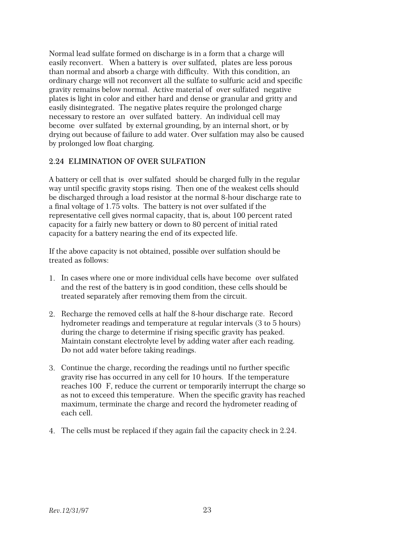Normal lead sulfate formed on discharge is in a form that a charge will easily reconvert. When a battery is "over sulfated, plates are less porous" than normal and absorb a charge with difficulty. With this condition, an ordinary charge will not reconvert all the sulfate to sulfuric acid and specific gravity remains below normal. Active material of over sulfated negative plates is light in color and either hard and dense or granular and gritty and easily disintegrated. The negative plates require the prolonged charge necessary to restore an over sulfated battery. An individual cell may become over sulfated by external grounding, by an internal short, or by drying out because of failure to add water. Over sulfation may also be caused by prolonged low float charging.

#### 2.24 ELIMINATION OF OVER SULFATION

A battery or cell that is over sulfated should be charged fully in the regular way until specific gravity stops rising. Then one of the weakest cells should be discharged through a load resistor at the normal 8-hour discharge rate to a final voltage of 1.75 volts. The battery is not over sulfated if the representative cell gives normal capacity, that is, about 100 percent rated capacity for a fairly new battery or down to 80 percent of initial rated capacity for a battery nearing the end of its expected life.

If the above capacity is not obtained, possible over sulfation should be treated as follows:

- 1. In cases where one or more individual cells have become over sulfated and the rest of the battery is in good condition, these cells should be treated separately after removing them from the circuit.
- 2. Recharge the removed cells at half the 8-hour discharge rate. Record hydrometer readings and temperature at regular intervals (3 to 5 hours) during the charge to determine if rising specific gravity has peaked. Maintain constant electrolyte level by adding water after each reading. Do not add water before taking readings.
- 3. Continue the charge, recording the readings until no further specific gravity rise has occurred in any cell for 10 hours. If the temperature reaches 100 F, reduce the current or temporarily interrupt the charge so as not to exceed this temperature. When the specific gravity has reached maximum, terminate the charge and record the hydrometer reading of each cell.
- 4. The cells must be replaced if they again fail the capacity check in 2.24.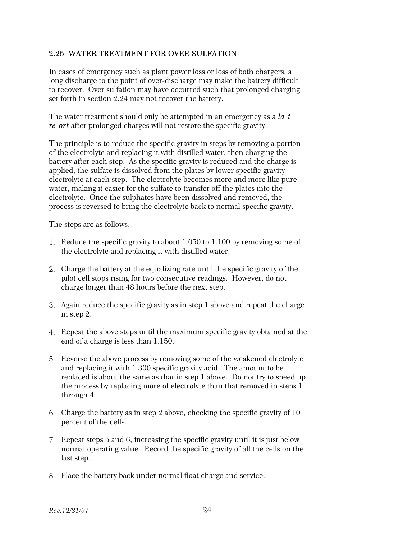#### 2.25 WATER TREATMENT FOR OVER SULFATION

In cases of emergency such as plant power loss or loss of both chargers, a long discharge to the point of over-discharge may make the battery difficult to recover. Over sulfation may have occurred such that prolonged charging set forth in section 2.24 may not recover the battery.

The water treatment should only be attempted in an emergency as a *la* t *re ort* after prolonged charges will not restore the specific gravity.

The principle is to reduce the specific gravity in steps by removing a portion of the electrolyte and replacing it with distilled water, then charging the battery after each step. As the specific gravity is reduced and the charge is applied, the sulfate is dissolved from the plates by lower specific gravity electrolyte at each step. The electrolyte becomes more and more like pure water, making it easier for the sulfate to transfer off the plates into the electrolyte. Once the sulphates have been dissolved and removed, the process is reversed to bring the electrolyte back to normal specific gravity.

The steps are as follows:

- 1. Reduce the specific gravity to about 1.050 to 1.100 by removing some of the electrolyte and replacing it with distilled water.
- 2. Charge the battery at the equalizing rate until the specific gravity of the pilot cell stops rising for two consecutive readings. However, do not charge longer than 48 hours before the next step.
- 3. Again reduce the specific gravity as in step 1 above and repeat the charge in step 2.
- 4. Repeat the above steps until the maximum specific gravity obtained at the end of a charge is less than 1.150.
- 5. Reverse the above process by removing some of the weakened electrolyte and replacing it with 1.300 specific gravity acid. The amount to be replaced is about the same as that in step 1 above. Do not try to speed up the process by replacing more of electrolyte than that removed in steps 1 through 4.
- 6. Charge the battery as in step 2 above, checking the specific gravity of 10 percent of the cells.
- 7. Repeat steps 5 and 6, increasing the specific gravity until it is just below normal operating value. Record the specific gravity of all the cells on the last step.
- 8. Place the battery back under normal float charge and service.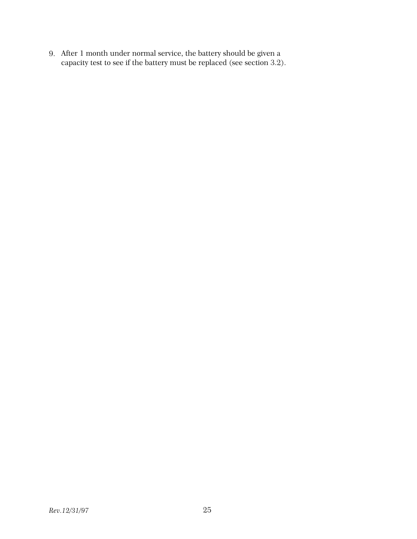9. After 1 month under normal service, the battery should be given a capacity test to see if the battery must be replaced (see section 3.2).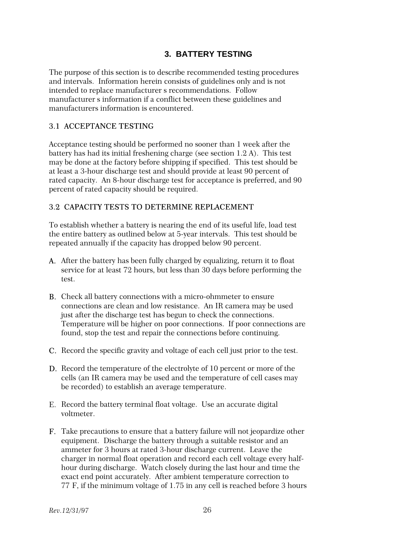## **3. BATTERY TESTING**

The purpose of this section is to describe recommended testing procedures and intervals. Information herein consists of guidelines only and is not intended to replace manufacturer s recommendations. Follow manufacturer s information if a conflict between these guidelines and manufacturers information is encountered.

#### 3.1 ACCEPTANCE TESTING

Acceptance testing should be performed no sooner than 1 week after the battery has had its initial freshening charge (see section 1.2 A). This test may be done at the factory before shipping if specified. This test should be at least a 3-hour discharge test and should provide at least 90 percent of rated capacity. An 8-hour discharge test for acceptance is preferred, and 90 percent of rated capacity should be required.

#### 3.2 CAPACITY TESTS TO DETERMINE REPLACEMENT

To establish whether a battery is nearing the end of its useful life, load test the entire battery as outlined below at 5-year intervals. This test should be repeated annually if the capacity has dropped below 90 percent.

- A. After the battery has been fully charged by equalizing, return it to float service for at least 72 hours, but less than 30 days before performing the test.
- B. Check all battery connections with a micro-ohmmeter to ensure connections are clean and low resistance. An IR camera may be used just after the discharge test has begun to check the connections. Temperature will be higher on poor connections. If poor connections are found, stop the test and repair the connections before continuing.
- C. Record the specific gravity and voltage of each cell just prior to the test.
- D. Record the temperature of the electrolyte of 10 percent or more of the cells (an IR camera may be used and the temperature of cell cases may be recorded) to establish an average temperature.
- E. Record the battery terminal float voltage. Use an accurate digital voltmeter.
- F. Take precautions to ensure that a battery failure will not jeopardize other equipment. Discharge the battery through a suitable resistor and an ammeter for 3 hours at rated 3-hour discharge current. Leave the charger in normal float operation and record each cell voltage every halfhour during discharge. Watch closely during the last hour and time the exact end point accurately. After ambient temperature correction to 77°F, if the minimum voltage of 1.75 in any cell is reached before 3 hours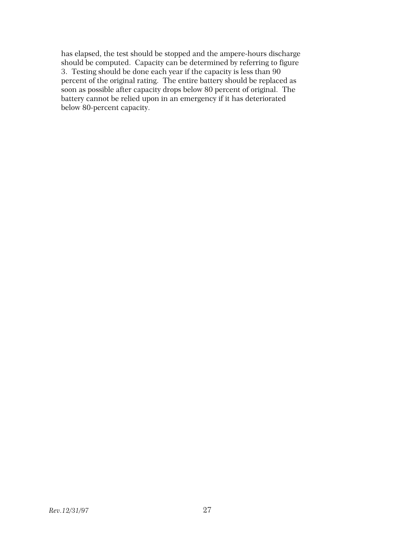has elapsed, the test should be stopped and the ampere-hours discharge should be computed. Capacity can be determined by referring to figure 3. Testing should be done each year if the capacity is less than 90 percent of the original rating. The entire battery should be replaced as soon as possible after capacity drops below 80 percent of original. The battery cannot be relied upon in an emergency if it has deteriorated below 80-percent capacity.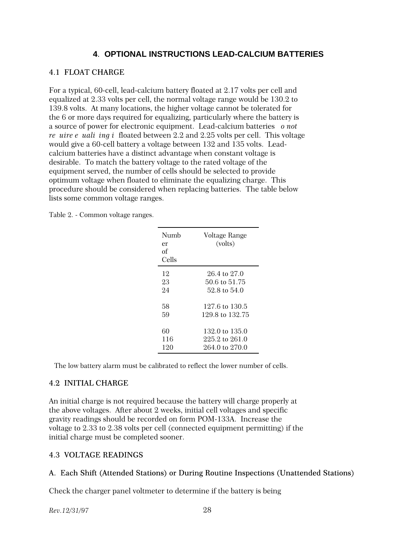## **4**. **OPTIONAL INSTRUCTIONS LEAD-CALCIUM BATTERIES**

## 4.1 FLOAT CHARGE

For a typical, 60-cell, lead-calcium battery floated at 2.17 volts per cell and equalized at 2.33 volts per cell, the normal voltage range would be 130.2 to 139.8 volts. At many locations, the higher voltage cannot be tolerated for the 6 or more days required for equalizing, particularly where the battery is a source of power for electronic equipment. Lead-calcium batteries *o not re uire e uali ing iffloated between 2.2 and 2.25 volts per cell. This voltage* would give a 60-cell battery a voltage between 132 and 135 volts. Leadcalcium batteries have a distinct advantage when constant voltage is desirable. To match the battery voltage to the rated voltage of the equipment served, the number of cells should be selected to provide optimum voltage when floated to eliminate the equalizing charge. This procedure should be considered when replacing batteries. The table below lists some common voltage ranges.

Table 2. - Common voltage ranges.

| Numh<br>er<br>of<br>Cells | Voltage Range<br>(volts) |
|---------------------------|--------------------------|
| 12                        | 26.4 to 27.0             |
| 23                        | 50.6 to 51.75            |
| 9.4                       | 52.8 to 54.0             |
| 58                        | 127.6 to 130.5           |
| 59                        | 129.8 to 132.75          |
| 60                        | 132.0 to 135.0           |
| 116                       | 225.2 to 261.0           |
| 120                       | 264.0 to 270.0           |

The low battery alarm must be calibrated to reflect the lower number of cells.

## 4.2 INITIAL CHARGE

An initial charge is not required because the battery will charge properly at the above voltages. After about 2 weeks, initial cell voltages and specific gravity readings should be recorded on form POM-133A. Increase the voltage to 2.33 to 2.38 volts per cell (connected equipment permitting) if the initial charge must be completed sooner.

## 4.3 VOLTAGE READINGS

## A. Each Shift (Attended Stations) or During Routine Inspections (Unattended Stations)

Check the charger panel voltmeter to determine if the battery is being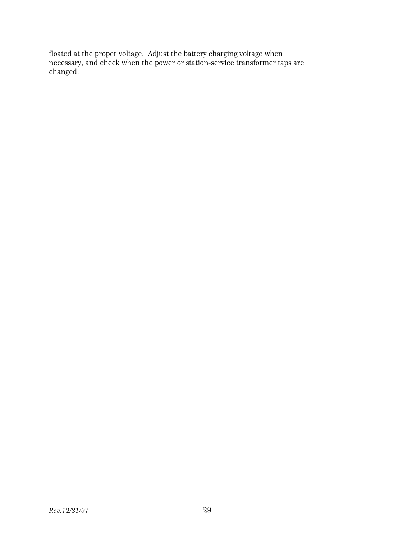floated at the proper voltage. Adjust the battery charging voltage when necessary, and check when the power or station-service transformer taps are changed.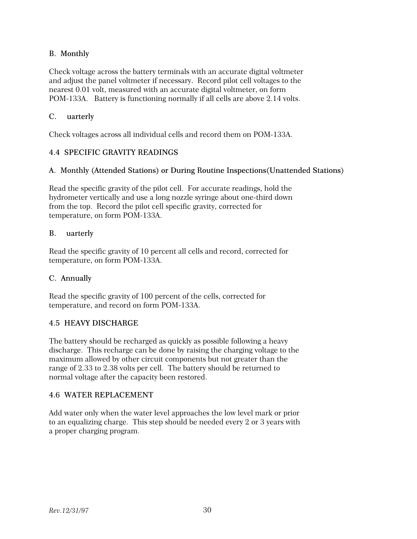## B. Monthly

Check voltage across the battery terminals with an accurate digital voltmeter and adjust the panel voltmeter if necessary. Record pilot cell voltages to the nearest 0.01 volt, measured with an accurate digital voltmeter, on form POM-133A. Battery is functioning normally if all cells are above 2.14 volts.

#### C. uarterly

Check voltages across all individual cells and record them on POM-133A.

#### 4.4 SPECIFIC GRAVITY READINGS

#### A. Monthly (Attended Stations) or During Routine Inspections(Unattended Stations)

Read the specific gravity of the pilot cell. For accurate readings, hold the hydrometer vertically and use a long nozzle syringe about one-third down from the top. Record the pilot cell specific gravity, corrected for temperature, on form POM-133A.

#### B. uarterly

Read the specific gravity of 10 percent all cells and record, corrected for temperature, on form POM-133A.

#### C. Annually

Read the specific gravity of 100 percent of the cells, corrected for temperature, and record on form POM-133A.

#### 4.5 HEAVY DISCHARGE

The battery should be recharged as quickly as possible following a heavy discharge. This recharge can be done by raising the charging voltage to the maximum allowed by other circuit components but not greater than the range of 2.33 to 2.38 volts per cell. The battery should be returned to normal voltage after the capacity been restored.

#### 4.6 WATER REPLACEMENT

Add water only when the water level approaches the low level mark or prior to an equalizing charge. This step should be needed every 2 or 3 years with a proper charging program.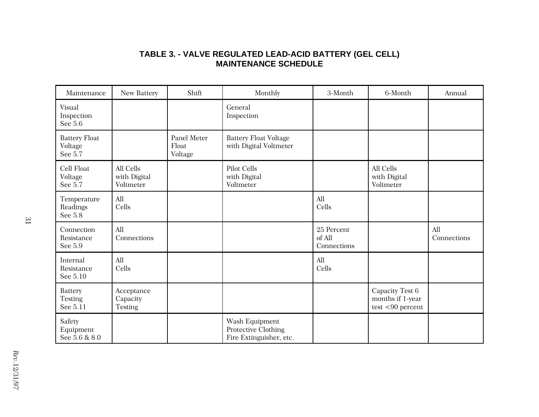# **TABLE 3. - VALVE REGULATED LEAD-ACID BATTERY (GEL CELL) MAINTENANCE SCHEDULE**

| Maintenance                                  | New Battery                              | Shift                           | Monthly                                                          | 3-Month                             | 6-Month                                                    | Annual             |
|----------------------------------------------|------------------------------------------|---------------------------------|------------------------------------------------------------------|-------------------------------------|------------------------------------------------------------|--------------------|
| Visual<br>Inspection<br>See 5.6              |                                          |                                 | General<br>Inspection                                            |                                     |                                                            |                    |
| <b>Battery Float</b><br>Voltage<br>See 5.7   |                                          | Panel Meter<br>Float<br>Voltage | <b>Battery Float Voltage</b><br>with Digital Voltmeter           |                                     |                                                            |                    |
| Cell Float<br>Voltage<br>See 5.7             | All Cells<br>with Digital<br>Voltmeter   |                                 | Pilot Cells<br>with Digital<br>Voltmeter                         |                                     | All Cells<br>with Digital<br>Voltmeter                     |                    |
| Temperature<br>Readings<br>See 5.8           | All<br>Cells                             |                                 |                                                                  | All<br>Cells                        |                                                            |                    |
| Connection<br>Resistance<br>See 5.9          | All<br>Connections                       |                                 |                                                                  | 25 Percent<br>of All<br>Connections |                                                            | All<br>Connections |
| Internal<br>Resistance<br>See 5.10           | All<br>Cells                             |                                 |                                                                  | All<br>Cells                        |                                                            |                    |
| <b>Battery</b><br><b>Testing</b><br>See 5.11 | Acceptance<br>Capacity<br><b>Testing</b> |                                 |                                                                  |                                     | Capacity Test 6<br>months if 1-year<br>$test < 90$ percent |                    |
| Safety<br>Equipment<br>See 5.6 & 8.0         |                                          |                                 | Wash Equipment<br>Protective Clothing<br>Fire Extinguisher, etc. |                                     |                                                            |                    |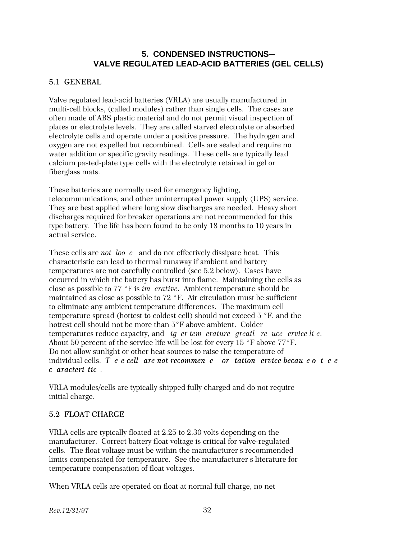# **5. CONDENSED INSTRUCTIONS-VALVE REGULATED LEAD-ACID BATTERIES (GEL CELLS)**

# 5.1 GENERAL

Valve regulated lead-acid batteries (VRLA) are usually manufactured in multi-cell blocks, (called modules) rather than single cells. The cases are often made of ABS plastic material and do not permit visual inspection of plates or electrolyte levels. They are called starved electrolyte or absorbed electrolyte cells and operate under a positive pressure. The hydrogen and oxygen are not expelled but recombined. Cells are sealed and require no water addition or specific gravity readings. These cells are typically lead calcium pasted-plate type cells with the electrolyte retained in gel or fiberglass mats.

These batteries are normally used for emergency lighting, telecommunications, and other uninterrupted power supply (UPS) service. They are best applied where long slow discharges are needed. Heavy short discharges required for breaker operations are not recommended for this type battery. The life has been found to be only 18 months to 10 years in actual service.

These cells are *not loo e* and do not effectively dissipate heat. This characteristic can lead to thermal runaway if ambient and battery temperatures are not carefully controlled (see 5.2 below). Cases have occurred in which the battery has burst into flame. Maintaining the cells as close as possible to 77 °F is *im erative*. Ambient temperature should be maintained as close as possible to  $72$  °F. Air circulation must be sufficient to eliminate any ambient temperature differences. The maximum cell temperature spread (hottest to coldest cell) should not exceed  $5 \text{ }^{\circ}$  F, and the hottest cell should not be more than 5°F above ambient. Colder temperatures reduce capacity, and *ig er tem erature greatl re uce ervice lie*. About 50 percent of the service life will be lost for every  $15 \text{ }^{\circ}$ F above  $77 \text{ }^{\circ}$ F. Do not allow sunlight or other heat sources to raise the temperature of individual cells. *Tee cell are not recommene or tation ervice becau e otee characteristics*.

VRLA modules/cells are typically shipped fully charged and do not require initial charge.

# 5.2 FLOAT CHARGE

VRLA cells are typically floated at 2.25 to 2.30 volts depending on the manufacturer. Correct battery float voltage is critical for valve-regulated cells. The float voltage must be within the manufacturer s recommended limits compensated for temperature. See the manufacturer's literature for temperature compensation of float voltages.

When VRLA cells are operated on float at normal full charge, no net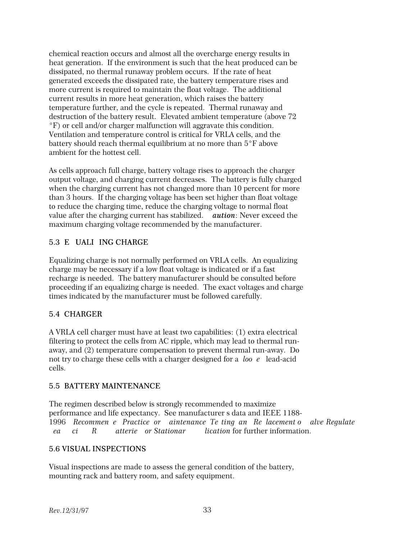chemical reaction occurs and almost all the overcharge energy results in heat generation. If the environment is such that the heat produced can be dissipated, no thermal runaway problem occurs. If the rate of heat generated exceeds the dissipated rate, the battery temperature rises and more current is required to maintain the float voltage. The additional current results in more heat generation, which raises the battery temperature further, and the cycle is repeated. Thermal runaway and destruction of the battery result. Elevated ambient temperature (above 72 EF) or cell and/or charger malfunction will aggravate this condition. Ventilation and temperature control is critical for VRLA cells, and the battery should reach thermal equilibrium at no more than  $5^{\circ}F$  above ambient for the hottest cell.

As cells approach full charge, battery voltage rises to approach the charger output voltage, and charging current decreases. The battery is fully charged when the charging current has not changed more than 10 percent for more than 3 hours. If the charging voltage has been set higher than float voltage to reduce the charging time, reduce the charging voltage to normal float value after the charging current has stabilized. *aution*: Never exceed the maximum charging voltage recommended by the manufacturer.

# 5.3 E UALI ING CHARGE

Equalizing charge is not normally performed on VRLA cells. An equalizing charge may be necessary if a low float voltage is indicated or if a fast recharge is needed. The battery manufacturer should be consulted before proceeding if an equalizing charge is needed. The exact voltages and charge times indicated by the manufacturer must be followed carefully.

# 5.4 CHARGER

A VRLA cell charger must have at least two capabilities: (1) extra electrical filtering to protect the cells from AC ripple, which may lead to thermal runaway, and (2) temperature compensation to prevent thermal run-away. Do not try to charge these cells with a charger designed for a *loo* e lead-acid cells.

#### 5.5 BATTERY MAINTENANCE

The regimen described below is strongly recommended to maximize performance and life expectancy. See manufacturer s data and IEEE 1188-1996 Recommen e Practice or aintenance Te ting an Replacement of alve-Regulate *Lea ci* R *atterie or Stationar lication* for further information.

#### 5.6 VISUAL INSPECTIONS

Visual inspections are made to assess the general condition of the battery, mounting rack and battery room, and safety equipment.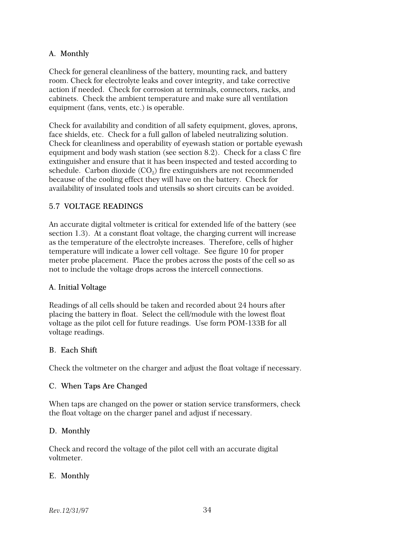# A. Monthly

Check for general cleanliness of the battery, mounting rack, and battery room. Check for electrolyte leaks and cover integrity, and take corrective action if needed. Check for corrosion at terminals, connectors, racks, and cabinets. Check the ambient temperature and make sure all ventilation equipment (fans, vents, etc.) is operable.

Check for availability and condition of all safety equipment, gloves, aprons, face shields, etc. Check for a full gallon of labeled neutralizing solution. Check for cleanliness and operability of eyewash station or portable eyewash equipment and body wash station (see section 8.2). Check for a class C fire extinguisher and ensure that it has been inspected and tested according to schedule. Carbon dioxide  $(\mathrm{CO}_2)$  fire extinguishers are not recommended because of the cooling effect they will have on the battery. Check for availability of insulated tools and utensils so short circuits can be avoided.

#### 5.7 VOLTAGE READINGS

An accurate digital voltmeter is critical for extended life of the battery (see section 1.3). At a constant float voltage, the charging current will increase as the temperature of the electrolyte increases. Therefore, cells of higher temperature will indicate a lower cell voltage. See figure 10 for proper meter probe placement. Place the probes across the posts of the cell so as not to include the voltage drops across the intercell connections.

#### A. Initial Voltage

Readings of all cells should be taken and recorded about 24 hours after placing the battery in float. Select the cell/module with the lowest float voltage as the pilot cell for future readings. Use form POM-133B for all voltage readings.

#### B. Each Shift

Check the voltmeter on the charger and adjust the float voltage if necessary.

#### C. When Taps Are Changed

When taps are changed on the power or station service transformers, check the float voltage on the charger panel and adjust if necessary.

#### D. Monthly

Check and record the voltage of the pilot cell with an accurate digital voltmeter.

#### E. Monthly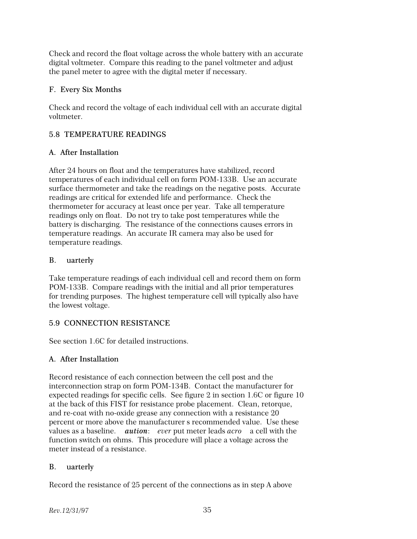Check and record the float voltage across the whole battery with an accurate digital voltmeter. Compare this reading to the panel voltmeter and adjust the panel meter to agree with the digital meter if necessary.

# F. Every Six Months

Check and record the voltage of each individual cell with an accurate digital voltmeter.

# 5.8 TEMPERATURE READINGS

# A. After Installation

After 24 hours on float and the temperatures have stabilized, record temperatures of each individual cell on form POM-133B. Use an accurate surface thermometer and take the readings on the negative posts. Accurate readings are critical for extended life and performance. Check the thermometer for accuracy at least once per year. Take all temperature readings only on float. Do not try to take post temperatures while the battery is discharging. The resistance of the connections causes errors in temperature readings. An accurate IR camera may also be used for temperature readings.

# B. uarterly

Take temperature readings of each individual cell and record them on form POM-133B. Compare readings with the initial and all prior temperatures for trending purposes. The highest temperature cell will typically also have the lowest voltage.

# 5.9 CONNECTION RESISTANCE

See section 1.6C for detailed instructions.

# A. After Installation

Record resistance of each connection between the cell post and the interconnection strap on form POM-134B. Contact the manufacturer for expected readings for specific cells. See figure 2 in section 1.6C or figure 10 at the back of this FIST for resistance probe placement. Clean, retorque, and re-coat with no-oxide grease any connection with a resistance 20 percent or more above the manufacturer's recommended value. Use these values as a baseline. *aution*: *ever* put meter leads *acro* a cell with the function switch on ohms. This procedure will place a voltage across the meter instead of a resistance.

# B. uarterly

Record the resistance of 25 percent of the connections as in step A above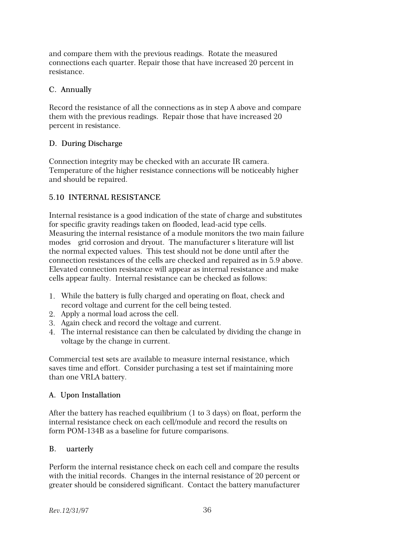and compare them with the previous readings. Rotate the measured connections each quarter. Repair those that have increased 20 percent in resistance.

### C. Annually

Record the resistance of all the connections as in step A above and compare them with the previous readings. Repair those that have increased 20 percent in resistance.

# D. During Discharge

Connection integrity may be checked with an accurate IR camera. Temperature of the higher resistance connections will be noticeably higher and should be repaired.

# 5.10 INTERNAL RESISTANCE

Internal resistance is a good indication of the state of charge and substitutes for specific gravity readings taken on flooded, lead-acid type cells. Measuring the internal resistance of a module monitors the two main failure modes grid corrosion and dryout. The manufacturer s literature will list the normal expected values. This test should not be done until after the connection resistances of the cells are checked and repaired as in 5.9 above. Elevated connection resistance will appear as internal resistance and make cells appear faulty. Internal resistance can be checked as follows:

- 1. While the battery is fully charged and operating on float, check and record voltage and current for the cell being tested.
- 2. Apply a normal load across the cell.
- 3. Again check and record the voltage and current.
- 4. The internal resistance can then be calculated by dividing the change in voltage by the change in current.

Commercial test sets are available to measure internal resistance, which saves time and effort. Consider purchasing a test set if maintaining more than one VRLA battery.

# A. Upon Installation

After the battery has reached equilibrium (1 to 3 days) on float, perform the internal resistance check on each cell/module and record the results on form POM-134B as a baseline for future comparisons.

#### B. uarterly

Perform the internal resistance check on each cell and compare the results with the initial records. Changes in the internal resistance of 20 percent or greater should be considered significant. Contact the battery manufacturer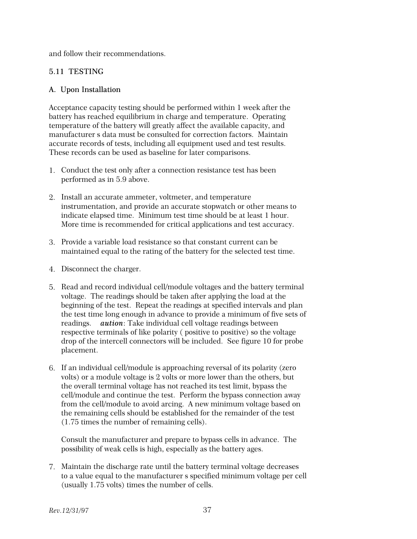and follow their recommendations.

### 5.11 TESTING

#### A. Upon Installation

Acceptance capacity testing should be performed within 1 week after the battery has reached equilibrium in charge and temperature. Operating temperature of the battery will greatly affect the available capacity, and manufacturer s data must be consulted for correction factors. Maintain accurate records of tests, including all equipment used and test results. These records can be used as baseline for later comparisons.

- 1. Conduct the test only after a connection resistance test has been performed as in 5.9 above.
- 2. Install an accurate ammeter, voltmeter, and temperature instrumentation, and provide an accurate stopwatch or other means to indicate elapsed time. Minimum test time should be at least 1 hour. More time is recommended for critical applications and test accuracy.
- 3. Provide a variable load resistance so that constant current can be maintained equal to the rating of the battery for the selected test time.
- 4. Disconnect the charger.
- 5. Read and record individual cell/module voltages and the battery terminal voltage. The readings should be taken after applying the load at the beginning of the test. Repeat the readings at specified intervals and plan the test time long enough in advance to provide a minimum of five sets of readings. *aution*: Take individual cell voltage readings between respective terminals of like polarity ( positive to positive) so the voltage drop of the intercell connectors will be included. See figure 10 for probe placement.
- 6. If an individual cell/module is approaching reversal of its polarity (zero volts) or a module voltage is 2 volts or more lower than the others, but the overall terminal voltage has not reached its test limit, bypass the cell/module and continue the test. Perform the bypass connection away from the cell/module to avoid arcing. A new minimum voltage based on the remaining cells should be established for the remainder of the test (1.75 times the number of remaining cells).

Consult the manufacturer and prepare to bypass cells in advance. The possibility of weak cells is high, especially as the battery ages.

7. Maintain the discharge rate until the battery terminal voltage decreases to a value equal to the manufacturer s specified minimum voltage per cell (usually 1.75 volts) times the number of cells.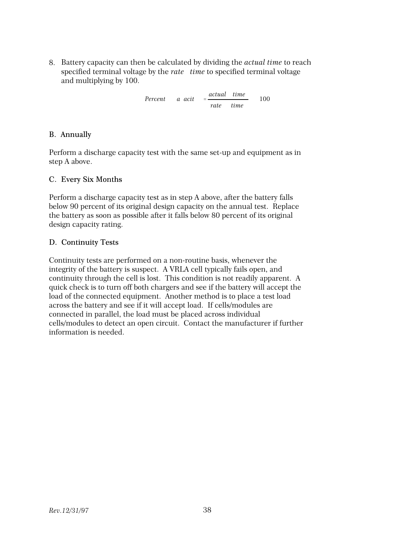8. Battery capacity can then be calculated by dividing the *actual time* to reach specified terminal voltage by the *rate* time to specified terminal voltage and multiplying by 100.

> *Percent Capacity* ' *actual time*  $rate-time$ 100

#### B. Annually

Perform a discharge capacity test with the same set-up and equipment as in step A above.

#### C. Every Six Months

Perform a discharge capacity test as in step A above, after the battery falls below 90 percent of its original design capacity on the annual test. Replace the battery as soon as possible after it falls below 80 percent of its original design capacity rating.

#### D. Continuity Tests

Continuity tests are performed on a non-routine basis, whenever the integrity of the battery is suspect. A VRLA cell typically fails open, and continuity through the cell is lost. This condition is not readily apparent. A quick check is to turn off both chargers and see if the battery will accept the load of the connected equipment. Another method is to place a test load across the battery and see if it will accept load. If cells/modules are connected in parallel, the load must be placed across individual cells/modules to detect an open circuit. Contact the manufacturer if further information is needed.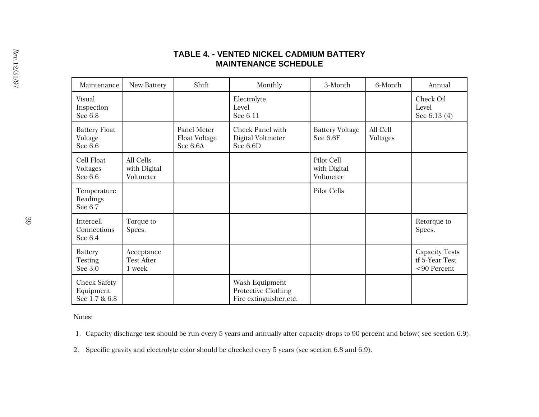# **TABLE 4. - VENTED NICKEL CADMIUM BATTERY MAINTENANCE SCHEDULE**

| Maintenance                                       | New Battery                               | Shift                                    | Monthly                                                          | 3-Month                                 | 6-Month              | Annual                                                 |
|---------------------------------------------------|-------------------------------------------|------------------------------------------|------------------------------------------------------------------|-----------------------------------------|----------------------|--------------------------------------------------------|
| Visual<br>Inspection<br>See 6.8                   |                                           |                                          | Electrolyte<br>Level<br>See 6.11                                 |                                         |                      | Check Oil<br>Level<br>See 6.13 (4)                     |
| <b>Battery Float</b><br>Voltage<br>See 6.6        |                                           | Panel Meter<br>Float Voltage<br>See 6.6A | Check Panel with<br>Digital Voltmeter<br>See 6.6D                | <b>Battery Voltage</b><br>See 6.6E      | All Cell<br>Voltages |                                                        |
| Cell Float<br>Voltages<br>See 6.6                 | All Cells<br>with Digital<br>Voltmeter    |                                          |                                                                  | Pilot Cell<br>with Digital<br>Voltmeter |                      |                                                        |
| Temperature<br>Readings<br>See 6.7                |                                           |                                          |                                                                  | Pilot Cells                             |                      |                                                        |
| Intercell<br>Connections<br>See 6.4               | Torque to<br>Specs.                       |                                          |                                                                  |                                         |                      | Retorque to<br>Specs.                                  |
| Battery<br>Testing<br>See 3.0                     | Acceptance<br><b>Test After</b><br>1 week |                                          |                                                                  |                                         |                      | <b>Capacity Tests</b><br>if 5-Year Test<br><90 Percent |
| <b>Check Safety</b><br>Equipment<br>See 1.7 & 6.8 |                                           |                                          | Wash Equipment<br>Protective Clothing<br>Fire extinguisher, etc. |                                         |                      |                                                        |

Notes:

1. Capacity discharge test should be run every 5 years and annually after capacity drops to 90 percent and below( see section 6.9).

2. Specific gravity and electrolyte color should be checked every 5 years (see section 6.8 and 6.9).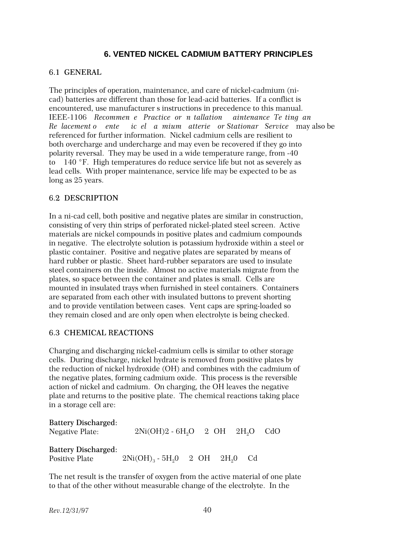# **6. VENTED NICKEL CADMIUM BATTERY PRINCIPLES**

#### 6.1 GENERAL

The principles of operation, maintenance, and care of nickel-cadmium (nicad) batteries are different than those for lead-acid batteries. If a conflict is encountered, use manufacturer s instructions in precedence to this manual. IEEE-1106 Recommen e Practice or *n* tallation aintenance Te ting and *Re lacement of ented icel-cadmium atterie or Stationary Service—may also be* referenced for further information. Nickel cadmium cells are resilient to both overcharge and undercharge and may even be recovered if they go into polarity reversal. They may be used in a wide temperature range, from -40 to  $-140$  °F. High temperatures do reduce service life but not as severely as lead cells. With proper maintenance, service life may be expected to be as long as 25 years.

#### 6.2 DESCRIPTION

In a ni-cad cell, both positive and negative plates are similar in construction, consisting of very thin strips of perforated nickel-plated steel screen. Active materials are nickel compounds in positive plates and cadmium compounds in negative. The electrolyte solution is potassium hydroxide within a steel or plastic container. Positive and negative plates are separated by means of hard rubber or plastic. Sheet hard-rubber separators are used to insulate steel containers on the inside. Almost no active materials migrate from the plates, so space between the container and plates is small. Cells are mounted in insulated trays when furnished in steel containers. Containers are separated from each other with insulated buttons to prevent shorting and to provide ventilation between cases. Vent caps are spring-loaded so they remain closed and are only open when electrolyte is being checked.

#### 6.3 CHEMICAL REACTIONS

Charging and discharging nickel-cadmium cells is similar to other storage cells. During discharge, nickel hydrate is removed from positive plates by the reduction of nickel hydroxide (OH) and combines with the cadmium of the negative plates, forming cadmium oxide. This process is the reversible action of nickel and cadmium. On charging, the OH leaves the negative plate and returns to the positive plate. The chemical reactions taking place in a storage cell are:

### Battery Discharged: Negative Plate:  $2Ni(OH)2 - 6H<sub>2</sub>O$   $2OH$   $2H<sub>2</sub>O$   $CdO$ Battery Discharged: Positive Plate  $2Ni(OH)_{3} - 5H_{2}0$   $2OH$   $2H_{2}0$  Cd

The net result is the transfer of oxygen from the active material of one plate to that of the other without measurable change of the electrolyte. In the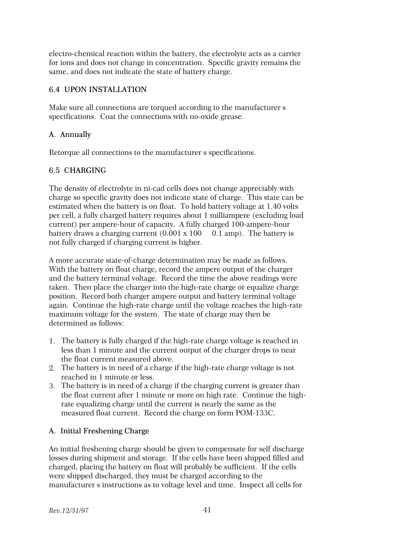electro-chemical reaction within the battery, the electrolyte acts as a carrier for ions and does not change in concentration. Specific gravity remains the same, and does not indicate the state of battery charge.

# 6.4 UPON INSTALLATION

Make sure all connections are torqued according to the manufacturer's specifications. Coat the connections with no-oxide grease.

# A. Annually

Retorque all connections to the manufacturer's specifications.

# 6.5 CHARGING

The density of electrolyte in ni-cad cells does not change appreciably with charge so specific gravity does not indicate state of charge. This state can be estimated when the battery is on float. To hold battery voltage at 1.40 volts per cell, a fully charged battery requires about 1 milliampere (excluding load current) per ampere-hour of capacity. A fully charged 100-ampere-hour battery draws a charging current  $(0.001 \times 100 - 0.1 \text{ amp})$ . The battery is not fully charged if charging current is higher.

A more accurate state-of-charge determination may be made as follows. With the battery on float charge, record the ampere output of the charger and the battery terminal voltage. Record the time the above readings were taken. Then place the charger into the high-rate charge or equalize charge position. Record both charger ampere output and battery terminal voltage again. Continue the high-rate charge until the voltage reaches the high-rate maximum voltage for the system. The state of charge may then be determined as follows:

- 1. The battery is fully charged if the high-rate charge voltage is reached in less than 1 minute and the current output of the charger drops to near the float current measured above.
- 2. The battery is in need of a charge if the high-rate charge voltage is not reached in 1 minute or less.
- 3. The battery is in need of a charge if the charging current is greater than the float current after 1 minute or more on high rate. Continue the highrate equalizing charge until the current is nearly the same as the measured float current. Record the charge on form POM-133C.

# A. Initial Freshening Charge

An initial freshening charge should be given to compensate for self discharge losses during shipment and storage. If the cells have been shipped filled and charged, placing the battery on float will probably be sufficient. If the cells were shipped discharged, they must be charged according to the manufacturer s instructions as to voltage level and time. Inspect all cells for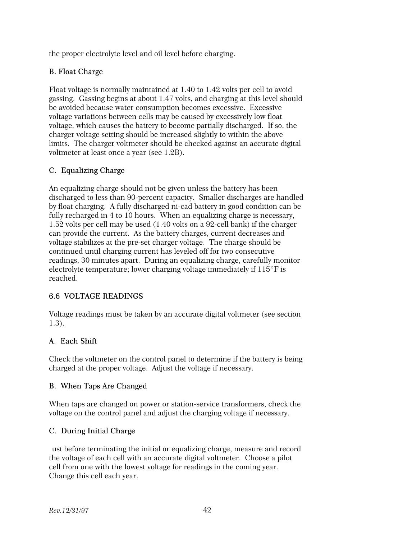the proper electrolyte level and oil level before charging.

# B. Float Charge

Float voltage is normally maintained at 1.40 to 1.42 volts per cell to avoid gassing. Gassing begins at about 1.47 volts, and charging at this level should be avoided because water consumption becomes excessive. Excessive voltage variations between cells may be caused by excessively low float voltage, which causes the battery to become partially discharged. If so, the charger voltage setting should be increased slightly to within the above limits. The charger voltmeter should be checked against an accurate digital voltmeter at least once a year (see 1.2B).

# C. Equalizing Charge

An equalizing charge should not be given unless the battery has been discharged to less than 90-percent capacity. Smaller discharges are handled by float charging. A fully discharged ni-cad battery in good condition can be fully recharged in 4 to 10 hours. When an equalizing charge is necessary, 1.52 volts per cell may be used (1.40 volts on a 92-cell bank) if the charger can provide the current. As the battery charges, current decreases and voltage stabilizes at the pre-set charger voltage. The charge should be continued until charging current has leveled off for two consecutive readings, 30 minutes apart. During an equalizing charge, carefully monitor electrolyte temperature; lower charging voltage immediately if  $115^{\circ}$ F is reached.

# 6.6 VOLTAGE READINGS

Voltage readings must be taken by an accurate digital voltmeter (see section 1.3).

# A. Each Shift

Check the voltmeter on the control panel to determine if the battery is being charged at the proper voltage. Adjust the voltage if necessary.

# B. When Taps Are Changed

When taps are changed on power or station-service transformers, check the voltage on the control panel and adjust the charging voltage if necessary.

# C. During Initial Charge

ust before terminating the initial or equalizing charge, measure and record the voltage of each cell with an accurate digital voltmeter. Choose a pilot cell from one with the lowest voltage for readings in the coming year. Change this cell each year.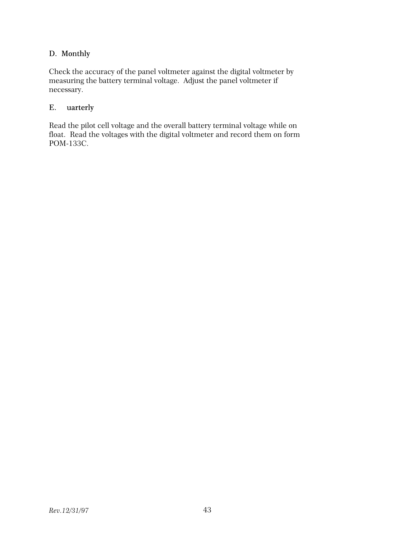# D. Monthly

Check the accuracy of the panel voltmeter against the digital voltmeter by measuring the battery terminal voltage. Adjust the panel voltmeter if necessary.

# E. uarterly

Read the pilot cell voltage and the overall battery terminal voltage while on float. Read the voltages with the digital voltmeter and record them on form POM-133C.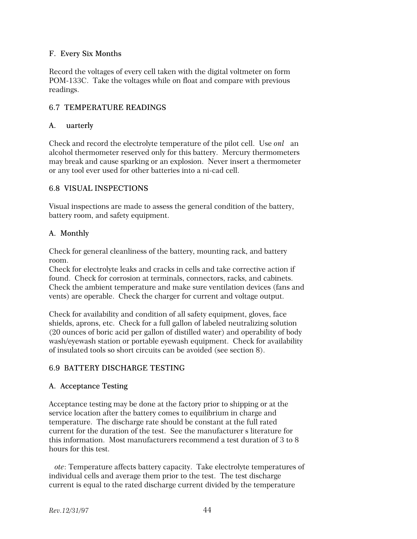### F. Every Six Months

Record the voltages of every cell taken with the digital voltmeter on form POM-133C. Take the voltages while on float and compare with previous readings.

# 6.7 TEMPERATURE READINGS

#### A. uarterly

Check and record the electrolyte temperature of the pilot cell. Use *onl* an alcohol thermometer reserved only for this battery. Mercury thermometers may break and cause sparking or an explosion. Never insert a thermometer or any tool ever used for other batteries into a ni-cad cell.

#### 6.8 VISUAL INSPECTIONS

Visual inspections are made to assess the general condition of the battery, battery room, and safety equipment.

#### A. Monthly

Check for general cleanliness of the battery, mounting rack, and battery room.

Check for electrolyte leaks and cracks in cells and take corrective action if found. Check for corrosion at terminals, connectors, racks, and cabinets. Check the ambient temperature and make sure ventilation devices (fans and vents) are operable. Check the charger for current and voltage output.

Check for availability and condition of all safety equipment, gloves, face shields, aprons, etc. Check for a full gallon of labeled neutralizing solution (20 ounces of boric acid per gallon of distilled water) and operability of body wash/eyewash station or portable eyewash equipment. Check for availability of insulated tools so short circuits can be avoided (see section 8).

#### 6.9 BATTERY DISCHARGE TESTING

#### A. Acceptance Testing

Acceptance testing may be done at the factory prior to shipping or at the service location after the battery comes to equilibrium in charge and temperature. The discharge rate should be constant at the full rated current for the duration of the test. See the manufacturer's literature for this information. Most manufacturers recommend a test duration of 3 to 8 hours for this test.

*Note*: Temperature affects battery capacity. Take electrolyte temperatures of individual cells and average them prior to the test. The test discharge current is equal to the rated discharge current divided by the temperature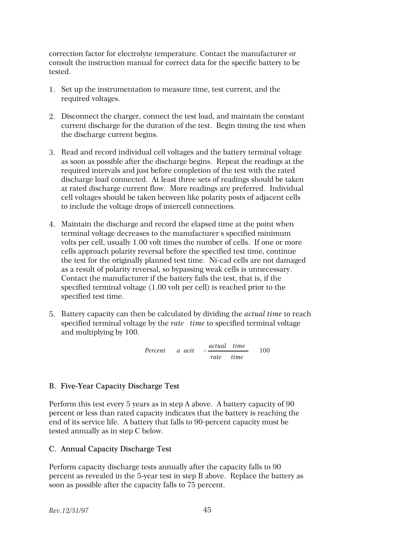correction factor for electrolyte temperature. Contact the manufacturer or consult the instruction manual for correct data for the specific battery to be tested.

- 1. Set up the instrumentation to measure time, test current, and the required voltages.
- 2. Disconnect the charger, connect the test load, and maintain the constant current discharge for the duration of the test. Begin timing the test when the discharge current begins.
- 3. Read and record individual cell voltages and the battery terminal voltage as soon as possible after the discharge begins. Repeat the readings at the required intervals and just before completion of the test with the rated discharge load connected. At least three sets of readings should be taken at rated discharge current flow. More readings are preferred. Individual cell voltages should be taken between like polarity posts of adjacent cells to include the voltage drops of intercell connections.
- 4. Maintain the discharge and record the elapsed time at the point when terminal voltage decreases to the manufacturer s specified minimum volts per cell, usually 1.00 volt times the number of cells. If one or more cells approach polarity reversal before the specified test time, continue the test for the originally planned test time. Ni-cad cells are not damaged as a result of polarity reversal, so bypassing weak cells is unnecessary. Contact the manufacturer if the battery fails the test, that is, if the specified terminal voltage (1.00 volt per cell) is reached prior to the specified test time.
- 5. Battery capacity can then be calculated by dividing the *actual time* to reach specified terminal voltage by the *rate* time to specified terminal voltage and multiplying by 100.

*Percent a acit* =  $\frac{actual$  *time*  $rate-time$ 100

# B. Five-Year Capacity Discharge Test

Perform this test every 5 years as in step A above. A battery capacity of 90 percent or less than rated capacity indicates that the battery is reaching the end of its service life. A battery that falls to 90-percent capacity must be tested annually as in step C below.

# C. Annual Capacity Discharge Test

Perform capacity discharge tests annually after the capacity falls to 90 percent as revealed in the 5-year test in step B above. Replace the battery as soon as possible after the capacity falls to 75 percent.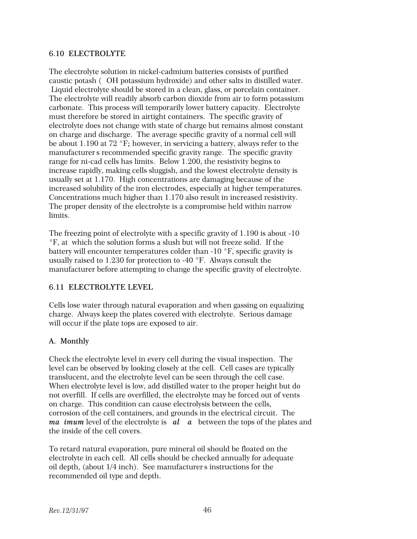#### 6.10 ELECTROLYTE

The electrolyte solution in nickel-cadmium batteries consists of purified caustic potash (OH potassium hydroxide) and other salts in distilled water. Liquid electrolyte should be stored in a clean, glass, or porcelain container. The electrolyte will readily absorb carbon dioxide from air to form potassium carbonate. This process will temporarily lower battery capacity. Electrolyte must therefore be stored in airtight containers. The specific gravity of electrolyte does not change with state of charge but remains almost constant on charge and discharge. The average specific gravity of a normal cell will be about 1.190 at 72  $\degree$ F; however, in servicing a battery, always refer to the manufacturer's recommended specific gravity range. The specific gravity range for ni-cad cells has limits. Below 1.200, the resistivity begins to increase rapidly, making cells sluggish, and the lowest electrolyte density is usually set at 1.170. High concentrations are damaging because of the increased solubility of the iron electrodes, especially at higher temperatures. Concentrations much higher than 1.170 also result in increased resistivity. The proper density of the electrolyte is a compromise held within narrow limits.

The freezing point of electrolyte with a specific gravity of 1.190 is about -10  $\degree$ F, at which the solution forms a slush but will not freeze solid. If the battery will encounter temperatures colder than  $-10$  °F, specific gravity is usually raised to 1.230 for protection to -40  $\degree$ F. Always consult the manufacturer before attempting to change the specific gravity of electrolyte.

# 6.11 ELECTROLYTE LEVEL

Cells lose water through natural evaporation and when gassing on equalizing charge. Always keep the plates covered with electrolyte. Serious damage will occur if the plate tops are exposed to air.

# A. Monthly

Check the electrolyte level in every cell during the visual inspection. The level can be observed by looking closely at the cell. Cell cases are typically translucent, and the electrolyte level can be seen through the cell case. When electrolyte level is low, add distilled water to the proper height but do not overfill. If cells are overfilled, the electrolyte may be forced out of vents on charge. This condition can cause electrolysis between the cells, corrosion of the cell containers, and grounds in the electrical circuit. The *ma imum* level of the electrolyte is **al a** between the tops of the plates and the inside of the cell covers.

To retard natural evaporation, pure mineral oil should be floated on the electrolyte in each cell. All cells should be checked annually for adequate oil depth, (about  $1/4$  inch). See manufacturer's instructions for the recommended oil type and depth.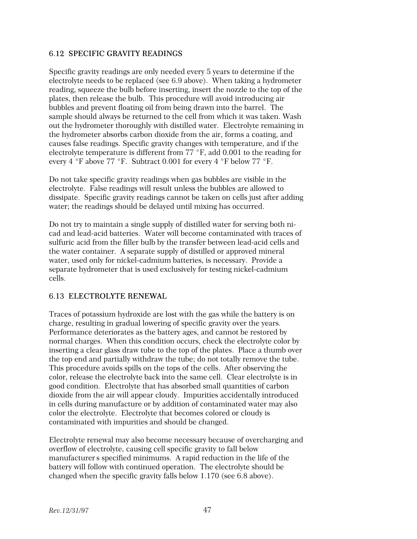#### 6.12 SPECIFIC GRAVITY READINGS

Specific gravity readings are only needed every 5 years to determine if the electrolyte needs to be replaced (see 6.9 above). When taking a hydrometer reading, squeeze the bulb before inserting, insert the nozzle to the top of the plates, then release the bulb. This procedure will avoid introducing air bubbles and prevent floating oil from being drawn into the barrel. The sample should always be returned to the cell from which it was taken. Wash out the hydrometer thoroughly with distilled water. Electrolyte remaining in the hydrometer absorbs carbon dioxide from the air, forms a coating, and causes false readings. Specific gravity changes with temperature, and if the electrolyte temperature is different from  $77 \text{ }^{\circ}$ F, add 0.001 to the reading for every 4  $\degree$ F above 77  $\degree$ F. Subtract 0.001 for every 4  $\degree$ F below 77  $\degree$ F.

Do not take specific gravity readings when gas bubbles are visible in the electrolyte. False readings will result unless the bubbles are allowed to dissipate. Specific gravity readings cannot be taken on cells just after adding water; the readings should be delayed until mixing has occurred.

Do not try to maintain a single supply of distilled water for serving both nicad and lead-acid batteries. Water will become contaminated with traces of sulfuric acid from the filler bulb by the transfer between lead-acid cells and the water container. A separate supply of distilled or approved mineral water, used only for nickel-cadmium batteries, is necessary. Provide a separate hydrometer that is used exclusively for testing nickel-cadmium cells.

# 6.13 ELECTROLYTE RENEWAL

Traces of potassium hydroxide are lost with the gas while the battery is on charge, resulting in gradual lowering of specific gravity over the years. Performance deteriorates as the battery ages, and cannot be restored by normal charges. When this condition occurs, check the electrolyte color by inserting a clear glass draw tube to the top of the plates. Place a thumb over the top end and partially withdraw the tube; do not totally remove the tube. This procedure avoids spills on the tops of the cells. After observing the color, release the electrolyte back into the same cell. Clear electrolyte is in good condition. Electrolyte that has absorbed small quantities of carbon dioxide from the air will appear cloudy. Impurities accidentally introduced in cells during manufacture or by addition of contaminated water may also color the electrolyte. Electrolyte that becomes colored or cloudy is contaminated with impurities and should be changed.

Electrolyte renewal may also become necessary because of overcharging and overflow of electrolyte, causing cell specific gravity to fall below manufacturer's specified minimums. A rapid reduction in the life of the battery will follow with continued operation. The electrolyte should be changed when the specific gravity falls below 1.170 (see 6.8 above).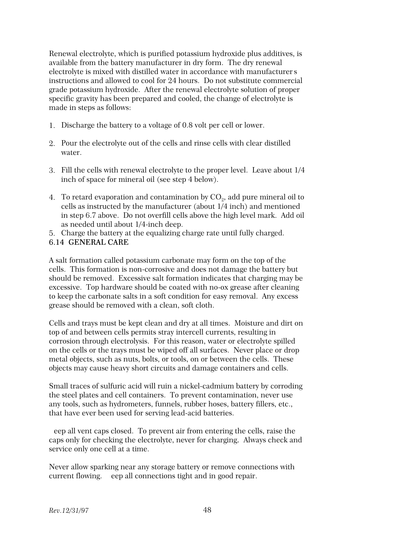Renewal electrolyte, which is purified potassium hydroxide plus additives, is available from the battery manufacturer in dry form. The dry renewal electrolyte is mixed with distilled water in accordance with manufacturers instructions and allowed to cool for 24 hours. Do not substitute commercial grade potassium hydroxide. After the renewal electrolyte solution of proper specific gravity has been prepared and cooled, the change of electrolyte is made in steps as follows:

- 1. Discharge the battery to a voltage of 0.8 volt per cell or lower.
- 2. Pour the electrolyte out of the cells and rinse cells with clear distilled water.
- 3. Fill the cells with renewal electrolyte to the proper level. Leave about 1/4 inch of space for mineral oil (see step 4 below).
- 4.  $\,$  To retard evaporation and contamination by  $\rm{CO}_{2}$ , add pure mineral oil to cells as instructed by the manufacturer (about 1/4 inch) and mentioned in step 6.7 above. Do not overfill cells above the high level mark. Add oil as needed until about 1/4-inch deep.
- 5. Charge the battery at the equalizing charge rate until fully charged.

#### 6.14 GENERAL CARE

A salt formation called potassium carbonate may form on the top of the cells. This formation is non-corrosive and does not damage the battery but should be removed. Excessive salt formation indicates that charging may be excessive. Top hardware should be coated with no-ox grease after cleaning to keep the carbonate salts in a soft condition for easy removal. Any excess grease should be removed with a clean, soft cloth.

Cells and trays must be kept clean and dry at all times. Moisture and dirt on top of and between cells permits stray intercell currents, resulting in corrosion through electrolysis. For this reason, water or electrolyte spilled on the cells or the trays must be wiped off all surfaces. Never place or drop metal objects, such as nuts, bolts, or tools, on or between the cells. These objects may cause heavy short circuits and damage containers and cells.

Small traces of sulfuric acid will ruin a nickel-cadmium battery by corroding the steel plates and cell containers. To prevent contamination, never use any tools, such as hydrometers, funnels, rubber hoses, battery fillers, etc., that have ever been used for serving lead-acid batteries.

eep all vent caps closed. To prevent air from entering the cells, raise the caps only for checking the electrolyte, never for charging. Always check and service only one cell at a time.

Never allow sparking near any storage battery or remove connections with current flowing. eep all connections tight and in good repair.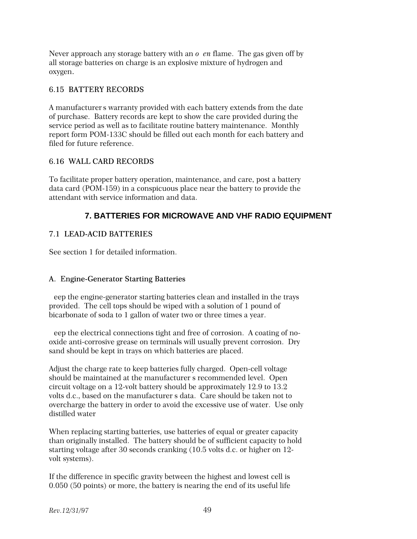Never approach any storage battery with an  $o$  en flame. The gas given off by all storage batteries on charge is an explosive mixture of hydrogen and oxygen.

### 6.15 BATTERY RECORDS

A manufacturer's warranty provided with each battery extends from the date of purchase. Battery records are kept to show the care provided during the service period as well as to facilitate routine battery maintenance. Monthly report form POM-133C should be filled out each month for each battery and filed for future reference.

# 6.16 WALL CARD RECORDS

To facilitate proper battery operation, maintenance, and care, post a battery data card (POM-159) in a conspicuous place near the battery to provide the attendant with service information and data.

# **7. BATTERIES FOR MICROWAVE AND VHF RADIO EQUIPMENT**

# 7.1 LEAD-ACID BATTERIES

See section 1 for detailed information.

#### A. Engine-Generator Starting Batteries

eep the engine-generator starting batteries clean and installed in the trays provided. The cell tops should be wiped with a solution of 1 pound of bicarbonate of soda to 1 gallon of water two or three times a year.

eep the electrical connections tight and free of corrosion. A coating of nooxide anti-corrosive grease on terminals will usually prevent corrosion. Dry sand should be kept in trays on which batteries are placed.

Adjust the charge rate to keep batteries fully charged. Open-cell voltage should be maintained at the manufacturer s recommended level. Open circuit voltage on a 12-volt battery should be approximately 12.9 to 13.2 volts d.c., based on the manufacturer's data. Care should be taken not to overcharge the battery in order to avoid the excessive use of water. Use only distilled water

When replacing starting batteries, use batteries of equal or greater capacity than originally installed. The battery should be of sufficient capacity to hold starting voltage after 30 seconds cranking (10.5 volts d.c. or higher on 12 volt systems).

If the difference in specific gravity between the highest and lowest cell is 0.050 (50 points) or more, the battery is nearing the end of its useful life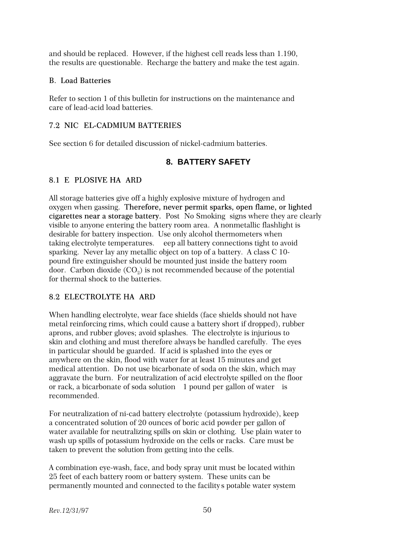and should be replaced. However, if the highest cell reads less than 1.190, the results are questionable. Recharge the battery and make the test again.

#### B. Load Batteries

Refer to section 1 of this bulletin for instructions on the maintenance and care of lead-acid load batteries.

### 7.2 NIC EL-CADMIUM BATTERIES

See section 6 for detailed discussion of nickel-cadmium batteries.

# **8. BATTERY SAFETY**

#### 8.1 E PLOSIVE HA ARD

All storage batteries give off a highly explosive mixture of hydrogen and oxygen when gassing. Therefore, never permit sparks, open flame, or lighted cigarettes near a storage battery. Post No Smoking signs where they are clearly visible to anyone entering the battery room area. A nonmetallic flashlight is desirable for battery inspection. Use only alcohol thermometers when taking electrolyte temperatures. eep all battery connections tight to avoid sparking. Never lay any metallic object on top of a battery. A class C 10 pound fire extinguisher should be mounted just inside the battery room door. Carbon dioxide  ${\rm (CO_2)}$  is not recommended because of the potential for thermal shock to the batteries.

#### 8.2 ELECTROLYTE HA ARD

When handling electrolyte, wear face shields (face shields should not have metal reinforcing rims, which could cause a battery short if dropped), rubber aprons, and rubber gloves; avoid splashes. The electrolyte is injurious to skin and clothing and must therefore always be handled carefully. The eyes in particular should be guarded. If acid is splashed into the eyes or anywhere on the skin, flood with water for at least 15 minutes and get medical attention. Do not use bicarbonate of soda on the skin, which may aggravate the burn. For neutralization of acid electrolyte spilled on the floor or rack, a bicarbonate of soda solution—1 pound per gallon of water—is recommended.

For neutralization of ni-cad battery electrolyte (potassium hydroxide), keep a concentrated solution of 20 ounces of boric acid powder per gallon of water available for neutralizing spills on skin or clothing. Use plain water to wash up spills of potassium hydroxide on the cells or racks. Care must be taken to prevent the solution from getting into the cells.

A combination eye-wash, face, and body spray unit must be located within 25 feet of each battery room or battery system. These units can be permanently mounted and connected to the facility's potable water system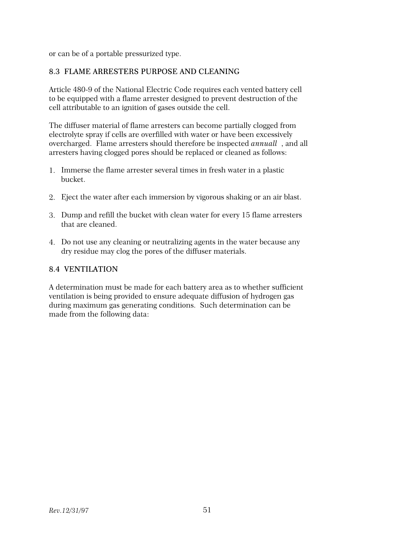or can be of a portable pressurized type.

# 8.3 FLAME ARRESTERS PURPOSE AND CLEANING

Article 480-9 of the National Electric Code requires each vented battery cell to be equipped with a flame arrester designed to prevent destruction of the cell attributable to an ignition of gases outside the cell.

The diffuser material of flame arresters can become partially clogged from electrolyte spray if cells are overfilled with water or have been excessively overcharged. Flame arresters should therefore be inspected *annuall*, and all arresters having clogged pores should be replaced or cleaned as follows:

- 1. Immerse the flame arrester several times in fresh water in a plastic bucket.
- 2. Eject the water after each immersion by vigorous shaking or an air blast.
- 3. Dump and refill the bucket with clean water for every 15 flame arresters that are cleaned.
- 4. Do not use any cleaning or neutralizing agents in the water because any dry residue may clog the pores of the diffuser materials.

### 8.4 VENTILATION

A determination must be made for each battery area as to whether sufficient ventilation is being provided to ensure adequate diffusion of hydrogen gas during maximum gas generating conditions. Such determination can be made from the following data: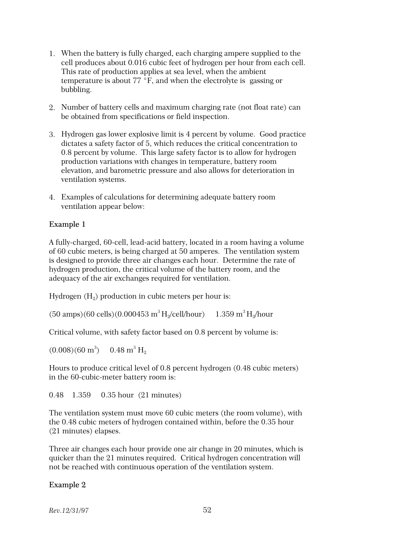- 1. When the battery is fully charged, each charging ampere supplied to the cell produces about 0.016 cubic feet of hydrogen per hour from each cell. This rate of production applies at sea level, when the ambient temperature is about 77  $\overline{P}$ , and when the electrolyte is gassing or bubbling.
- 2. Number of battery cells and maximum charging rate (not float rate) can be obtained from specifications or field inspection.
- 3. Hydrogen gas lower explosive limit is 4 percent by volume. Good practice dictates a safety factor of 5, which reduces the critical concentration to 0.8 percent by volume. This large safety factor is to allow for hydrogen production variations with changes in temperature, battery room elevation, and barometric pressure and also allows for deterioration in ventilation systems.
- 4. Examples of calculations for determining adequate battery room ventilation appear below:

# Example 1

A fully-charged, 60-cell, lead-acid battery, located in a room having a volume of 60 cubic meters, is being charged at 50 amperes. The ventilation system is designed to provide three air changes each hour. Determine the rate of hydrogen production, the critical volume of the battery room, and the adequacy of the air exchanges required for ventilation.

Hydrogen  $\rm(H_{2})$  production in cubic meters per hour is:

(50 amps)(60 cells)(0.000453 m<sup>3</sup>H<sup>2</sup> /cell/hour) = 1.359 m<sup>3</sup>H<sup>2</sup> /hour

Critical volume, with safety factor based on 0.8 percent by volume is:

 $(0.008)(60 \text{ m}^3)$  0.48 m<sup>3</sup> H<sub>2</sub>

Hours to produce critical level of 0.8 percent hydrogen (0.48 cubic meters) in the 60-cubic-meter battery room is:

0.48 1.359 0.35 hour (21 minutes)

The ventilation system must move 60 cubic meters (the room volume), with the 0.48 cubic meters of hydrogen contained within, before the 0.35 hour (21 minutes) elapses.

Three air changes each hour provide one air change in 20 minutes, which is quicker than the 21 minutes required. Critical hydrogen concentration will not be reached with continuous operation of the ventilation system.

# Example 2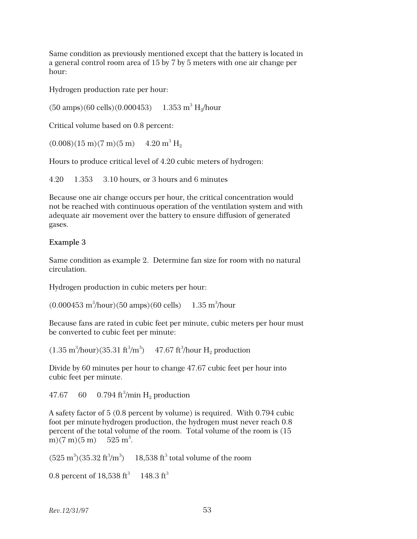Same condition as previously mentioned except that the battery is located in a general control room area of 15 by 7 by 5 meters with one air change per hour:

Hydrogen production rate per hour:

 $(50 \text{ amps})(60 \text{ cells})(0.000453)$ H<sup>2</sup> /hour

Critical volume based on 0.8 percent:

 $(0.008)(15 \text{ m})(7 \text{ m})(5 \text{ m})$  4.20  $\text{m}^3 \text{ H}_2$ 

Hours to produce critical level of 4.20 cubic meters of hydrogen:

4.20 ÷ 1.353 = 3.10 hours, or 3 hours and 6 minutes

Because one air change occurs per hour, the critical concentration would not be reached with continuous operation of the ventilation system and with adequate air movement over the battery to ensure diffusion of generated gases.

# Example 3

Same condition as example 2. Determine fan size for room with no natural circulation.

Hydrogen production in cubic meters per hour:

 $(0.000453 \text{ m}^3/\text{hour})$ (50 amps)(60 cells)  $-1.35 \text{ m}^3/\text{hour}$ 

Because fans are rated in cubic feet per minute, cubic meters per hour must be converted to cubic feet per minute:

 $(1.35 \text{ m}^3/\text{hour}) (35.31 \text{ ft}^3/\text{m}^3)$  47.67 ft<sup>3</sup>/hour H<sub>2</sub> production

Divide by 60 minutes per hour to change 47.67 cubic feet per hour into cubic feet per minute.

47.67 60 0.794 ft<sup>3</sup>/min  $\rm H_2$  production

A safety factor of 5 (0.8 percent by volume) is required. With 0.794 cubic foot per minute hydrogen production, the hydrogen must never reach 0.8 percent of the total volume of the room. Total volume of the room is (15 m $(7 \text{ m})(5 \text{ m})$  $525 \,\mathrm{m}^3$ .

 $(525 \text{ m}^3)(35.32 \text{ ft}^3/\text{m}^3)$  = 18,538 ft<sup>3</sup> total volume of the room

```
0.8 percent of 18,538 \rm{ft}^3 \rm{-} 148.3 \rm{ft}^3
```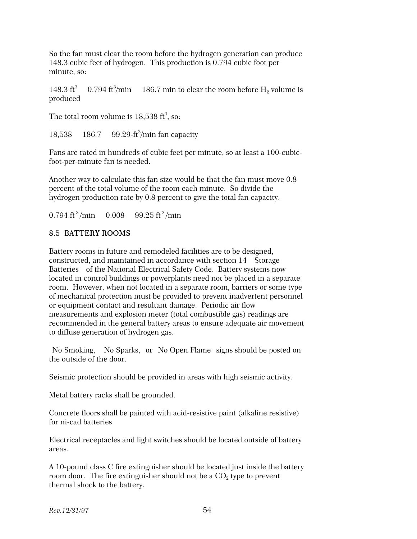So the fan must clear the room before the hydrogen generation can produce 148.3 cubic feet of hydrogen. This production is 0.794 cubic foot per minute, so:

148.3 $ft^3$  $10.794\ \mathrm{ft^3/min} = 186.7\ \mathrm{min}$  to clear the room before  $\mathrm{H}_2$  volume is produced

The total room volume is  $18,538 \text{ ft}^3$ , so:

18,538 186.7 99.29-ft<sup>3</sup>/min fan capacity

Fans are rated in hundreds of cubic feet per minute, so at least a 100-cubicfoot-per-minute fan is needed.

Another way to calculate this fan size would be that the fan must move 0.8 percent of the total volume of the room each minute. So divide the hydrogen production rate by 0.8 percent to give the total fan capacity.

0.794 ft<sup>3</sup>/min = 0.008 = 99.25 ft<sup>3</sup>/min

#### 8.5 BATTERY ROOMS

Battery rooms in future and remodeled facilities are to be designed, constructed, and maintained in accordance with section 14—Storage Batteries of the National Electrical Safety Code. Battery systems now located in control buildings or powerplants need not be placed in a separate room. However, when not located in a separate room, barriers or some type of mechanical protection must be provided to prevent inadvertent personnel or equipment contact and resultant damage. Periodic air flow measurements and explosion meter (total combustible gas) readings are recommended in the general battery areas to ensure adequate air movement to diffuse generation of hydrogen gas.

No Smoking, "No Sparks, "or "No Open Flame" signs should be posted on the outside of the door.

Seismic protection should be provided in areas with high seismic activity.

Metal battery racks shall be grounded.

Concrete floors shall be painted with acid-resistive paint (alkaline resistive) for ni-cad batteries.

Electrical receptacles and light switches should be located outside of battery areas.

A 10-pound class C fire extinguisher should be located just inside the battery room door. The fire extinguisher should not be a  $\mathrm{CO}_2$  type to prevent thermal shock to the battery.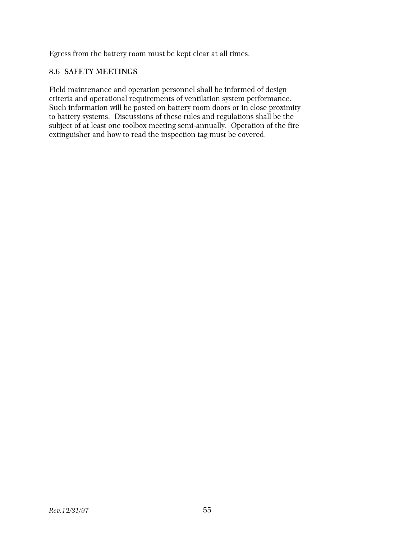Egress from the battery room must be kept clear at all times.

#### 8.6 SAFETY MEETINGS

Field maintenance and operation personnel shall be informed of design criteria and operational requirements of ventilation system performance. Such information will be posted on battery room doors or in close proximity to battery systems. Discussions of these rules and regulations shall be the subject of at least one toolbox meeting semi-annually. Operation of the fire extinguisher and how to read the inspection tag must be covered.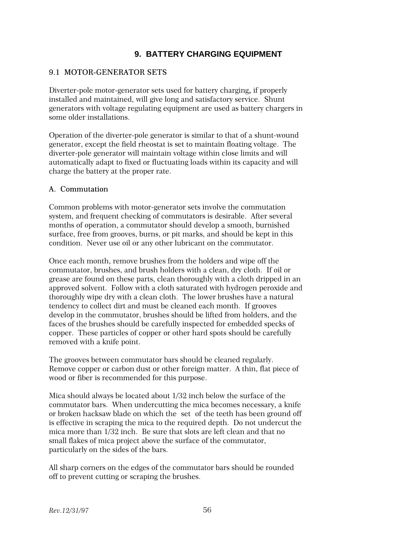# **9. BATTERY CHARGING EQUIPMENT**

#### 9.1 MOTOR-GENERATOR SETS

Diverter-pole motor-generator sets used for battery charging, if properly installed and maintained, will give long and satisfactory service. Shunt generators with voltage regulating equipment are used as battery chargers in some older installations.

Operation of the diverter-pole generator is similar to that of a shunt-wound generator, except the field rheostat is set to maintain floating voltage. The diverter-pole generator will maintain voltage within close limits and will automatically adapt to fixed or fluctuating loads within its capacity and will charge the battery at the proper rate.

#### A. Commutation

Common problems with motor-generator sets involve the commutation system, and frequent checking of commutators is desirable. After several months of operation, a commutator should develop a smooth, burnished surface, free from grooves, burns, or pit marks, and should be kept in this condition. Never use oil or any other lubricant on the commutator.

Once each month, remove brushes from the holders and wipe off the commutator, brushes, and brush holders with a clean, dry cloth. If oil or grease are found on these parts, clean thoroughly with a cloth dripped in an approved solvent. Follow with a cloth saturated with hydrogen peroxide and thoroughly wipe dry with a clean cloth. The lower brushes have a natural tendency to collect dirt and must be cleaned each month. If grooves develop in the commutator, brushes should be lifted from holders, and the faces of the brushes should be carefully inspected for embedded specks of copper. These particles of copper or other hard spots should be carefully removed with a knife point.

The grooves between commutator bars should be cleaned regularly. Remove copper or carbon dust or other foreign matter. A thin, flat piece of wood or fiber is recommended for this purpose.

Mica should always be located about 1/32 inch below the surface of the commutator bars. When undercutting the mica becomes necessary, a knife or broken hacksaw blade on which the set of the teeth has been ground off is effective in scraping the mica to the required depth. Do not undercut the mica more than 1/32 inch. Be sure that slots are left clean and that no small flakes of mica project above the surface of the commutator, particularly on the sides of the bars.

All sharp corners on the edges of the commutator bars should be rounded off to prevent cutting or scraping the brushes.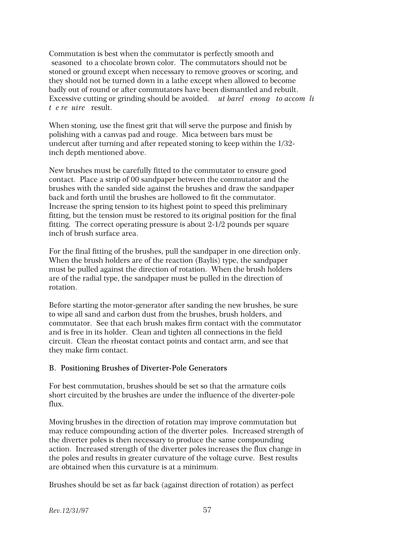Commutation is best when the commutator is perfectly smooth and seasoned to a chocolate brown color. The commutators should not be stoned or ground except when necessary to remove grooves or scoring, and they should not be turned down in a lathe except when allowed to become badly out of round or after commutators have been dismantled and rebuilt. Excessive cutting or grinding should be avoided. ut barel enough to accompli *t e re uire* result.

When stoning, use the finest grit that will serve the purpose and finish by polishing with a canvas pad and rouge. Mica between bars must be undercut after turning and after repeated stoning to keep within the 1/32 inch depth mentioned above.

New brushes must be carefully fitted to the commutator to ensure good contact. Place a strip of 00 sandpaper between the commutator and the brushes with the sanded side against the brushes and draw the sandpaper back and forth until the brushes are hollowed to fit the commutator. Increase the spring tension to its highest point to speed this preliminary fitting, but the tension must be restored to its original position for the final fitting. The correct operating pressure is about 2-1/2 pounds per square inch of brush surface area.

For the final fitting of the brushes, pull the sandpaper in one direction only. When the brush holders are of the reaction (Baylis) type, the sandpaper must be pulled against the direction of rotation. When the brush holders are of the radial type, the sandpaper must be pulled in the direction of rotation.

Before starting the motor-generator after sanding the new brushes, be sure to wipe all sand and carbon dust from the brushes, brush holders, and commutator. See that each brush makes firm contact with the commutator and is free in its holder. Clean and tighten all connections in the field circuit. Clean the rheostat contact points and contact arm, and see that they make firm contact.

#### B. Positioning Brushes of Diverter-Pole Generators

For best commutation, brushes should be set so that the armature coils short circuited by the brushes are under the influence of the diverter-pole flux.

Moving brushes in the direction of rotation may improve commutation but may reduce compounding action of the diverter poles. Increased strength of the diverter poles is then necessary to produce the same compounding action. Increased strength of the diverter poles increases the flux change in the poles and results in greater curvature of the voltage curve. Best results are obtained when this curvature is at a minimum.

Brushes should be set as far back (against direction of rotation) as perfect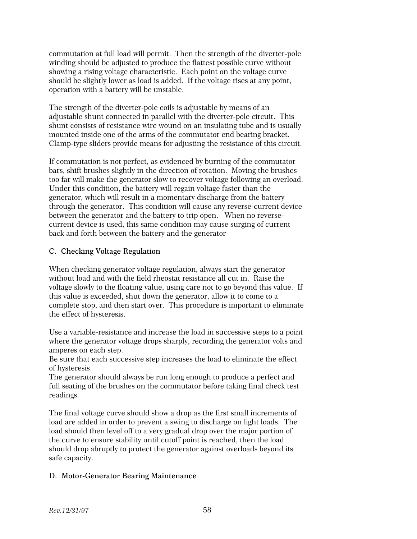commutation at full load will permit. Then the strength of the diverter-pole winding should be adjusted to produce the flattest possible curve without showing a rising voltage characteristic. Each point on the voltage curve should be slightly lower as load is added. If the voltage rises at any point, operation with a battery will be unstable.

The strength of the diverter-pole coils is adjustable by means of an adjustable shunt connected in parallel with the diverter-pole circuit. This shunt consists of resistance wire wound on an insulating tube and is usually mounted inside one of the arms of the commutator end bearing bracket. Clamp-type sliders provide means for adjusting the resistance of this circuit.

If commutation is not perfect, as evidenced by burning of the commutator bars, shift brushes slightly in the direction of rotation. Moving the brushes too far will make the generator slow to recover voltage following an overload. Under this condition, the battery will regain voltage faster than the generator, which will result in a momentary discharge from the battery through the generator. This condition will cause any reverse-current device between the generator and the battery to trip open. When no reversecurrent device is used, this same condition may cause surging of current back and forth between the battery and the generator

# C. Checking Voltage Regulation

When checking generator voltage regulation, always start the generator without load and with the field rheostat resistance all cut in. Raise the voltage slowly to the floating value, using care not to go beyond this value. If this value is exceeded, shut down the generator, allow it to come to a complete stop, and then start over. This procedure is important to eliminate the effect of hysteresis.

Use a variable-resistance and increase the load in successive steps to a point where the generator voltage drops sharply, recording the generator volts and amperes on each step.

Be sure that each successive step increases the load to eliminate the effect of hysteresis.

The generator should always be run long enough to produce a perfect and full seating of the brushes on the commutator before taking final check test readings.

The final voltage curve should show a drop as the first small increments of load are added in order to prevent a swing to discharge on light loads. The load should then level off to a very gradual drop over the major portion of the curve to ensure stability until cutoff point is reached, then the load should drop abruptly to protect the generator against overloads beyond its safe capacity.

# D. Motor-Generator Bearing Maintenance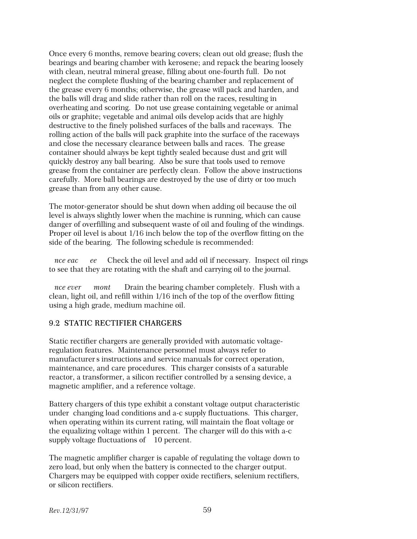Once every 6 months, remove bearing covers; clean out old grease; flush the bearings and bearing chamber with kerosene; and repack the bearing loosely with clean, neutral mineral grease, filling about one-fourth full. Do not neglect the complete flushing of the bearing chamber and replacement of the grease every 6 months; otherwise, the grease will pack and harden, and the balls will drag and slide rather than roll on the races, resulting in overheating and scoring. Do not use grease containing vegetable or animal oils or graphite; vegetable and animal oils develop acids that are highly destructive to the finely polished surfaces of the balls and raceways. The rolling action of the balls will pack graphite into the surface of the raceways and close the necessary clearance between balls and races. The grease container should always be kept tightly sealed because dust and grit will quickly destroy any ball bearing. Also be sure that tools used to remove grease from the container are perfectly clean. Follow the above instructions carefully. More ball bearings are destroyed by the use of dirty or too much grease than from any other cause.

The motor-generator should be shut down when adding oil because the oil level is always slightly lower when the machine is running, which can cause danger of overfilling and subsequent waste of oil and fouling of the windings. Proper oil level is about 1/16 inch below the top of the overflow fitting on the side of the bearing. The following schedule is recommended:

*nce eac ee* Check the oil level and add oil if necessary. Inspect oil rings to see that they are rotating with the shaft and carrying oil to the journal.

*nce ever mont* Drain the bearing chamber completely. Flush with a clean, light oil, and refill within 1/16 inch of the top of the overflow fitting using a high grade, medium machine oil.

#### 9.2 STATIC RECTIFIER CHARGERS

Static rectifier chargers are generally provided with automatic voltageregulation features. Maintenance personnel must always refer to manufacturer s instructions and service manuals for correct operation, maintenance, and care procedures. This charger consists of a saturable reactor, a transformer, a silicon rectifier controlled by a sensing device, a magnetic amplifier, and a reference voltage.

Battery chargers of this type exhibit a constant voltage output characteristic under changing load conditions and a-c supply fluctuations. This charger, when operating within its current rating, will maintain the float voltage or the equalizing voltage within 1 percent. The charger will do this with a-c supply voltage fluctuations of 10 percent.

The magnetic amplifier charger is capable of regulating the voltage down to zero load, but only when the battery is connected to the charger output. Chargers may be equipped with copper oxide rectifiers, selenium rectifiers, or silicon rectifiers.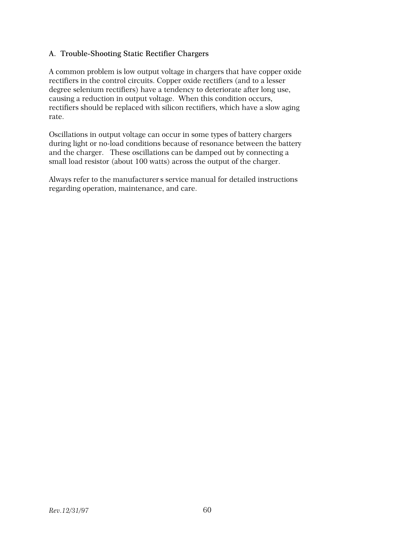### A. Trouble-Shooting Static Rectifier Chargers

A common problem is low output voltage in chargers that have copper oxide rectifiers in the control circuits. Copper oxide rectifiers (and to a lesser degree selenium rectifiers) have a tendency to deteriorate after long use, causing a reduction in output voltage. When this condition occurs, rectifiers should be replaced with silicon rectifiers, which have a slow aging rate.

Oscillations in output voltage can occur in some types of battery chargers during light or no-load conditions because of resonance between the battery and the charger. These oscillations can be damped out by connecting a small load resistor (about 100 watts) across the output of the charger.

Always refer to the manufacturers service manual for detailed instructions regarding operation, maintenance, and care.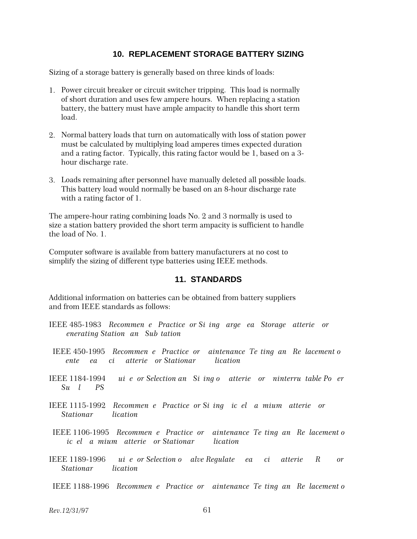### **10. REPLACEMENT STORAGE BATTERY SIZING**

Sizing of a storage battery is generally based on three kinds of loads:

- 1. Power circuit breaker or circuit switcher tripping. This load is normally of short duration and uses few ampere hours. When replacing a station battery, the battery must have ample ampacity to handle this short term load.
- 2. Normal battery loads that turn on automatically with loss of station power must be calculated by multiplying load amperes times expected duration and a rating factor. Typically, this rating factor would be 1, based on a 3 hour discharge rate.
- 3. Loads remaining after personnel have manually deleted all possible loads. This battery load would normally be based on an 8-hour discharge rate with a rating factor of 1.

The ampere-hour rating combining loads No. 2 and 3 normally is used to size a station battery provided the short term ampacity is sufficient to handle the load of No. 1.

Computer software is available from battery manufacturers at no cost to simplify the sizing of different type batteries using IEEE methods.

#### **11. STANDARDS**

Additional information on batteries can be obtained from battery suppliers and from IEEE standards as follows:

- IEEE 485-1983 Recommen e Practice or Si ing arge ea Storage atterie or *Generating Station and Sub tation*
- IEEE 450-1995 Recommen e Practice or aintenance Te ting an Re lacement of *ente ea ci atterie or Stationar lication*
- IEEE 1184-1994 *ui e or Selection and Siggo atterie or ninterru table Poer*  $Su$  *I PS*
- IEEE 1115-1992 Recommen e Practice or Si ing ic el a mium atterie or *Stationar lication*
- IEEE 1106-1995 Recommen e Practice or aintenance Te ting and Replacement of *ic el a mium atterie or Stationar lication*
- IEEE 1189-1996 *ui e or Selection o alve Regulate ea ciatterie* R or *Stationar lication*

IEEE 1188-1996 Recommen e Practice or aintenance Te ting an Re lacement o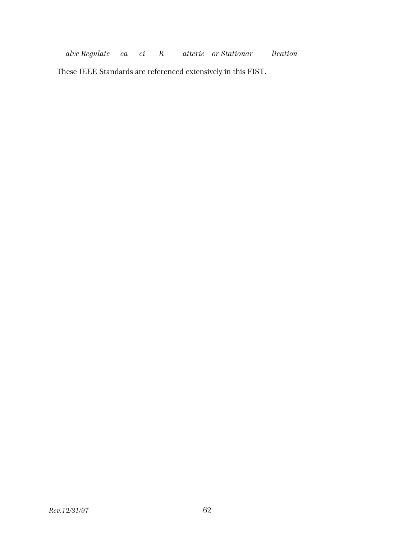*Alve Regulate ea ci* R atterie or Stationar lication

These IEEE Standards are referenced extensively in this FIST.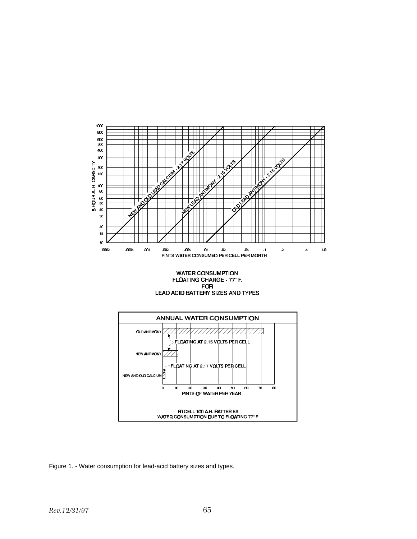

Figure 1. - Water consumption for lead-acid battery sizes and types.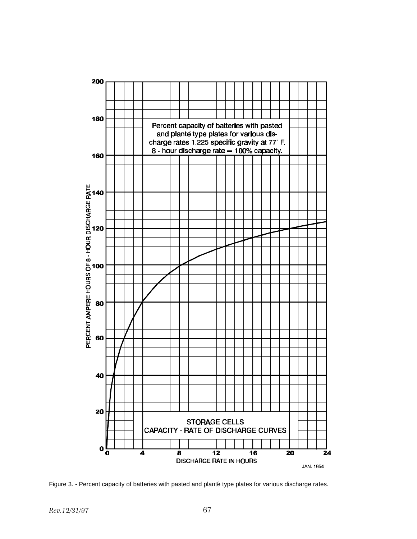

Figure 3. - Percent capacity of batteries with pasted and planté type plates for various discharge rates.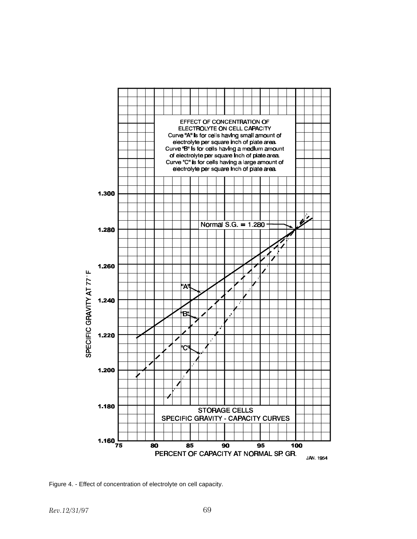

Figure 4. - Effect of concentration of electrolyte on cell capacity.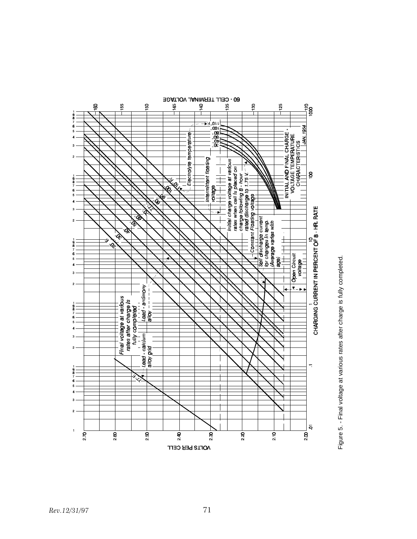

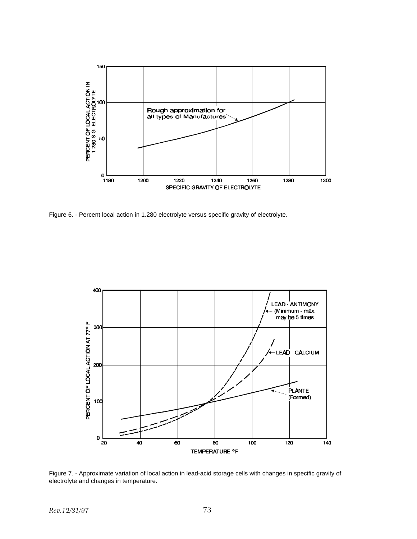

Figure 6. - Percent local action in 1.280 electrolyte versus specific gravity of electrolyte.



Figure 7. - Approximate variation of local action in lead-acid storage cells with changes in specific gravity of electrolyte and changes in temperature.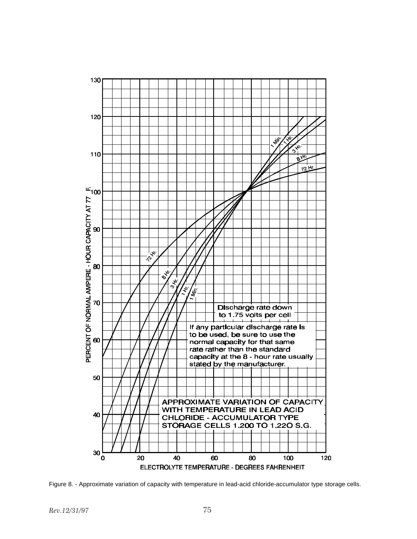

Figure 8. - Approximate variation of capacity with temperature in lead-acid chloride-accumulator type storage cells.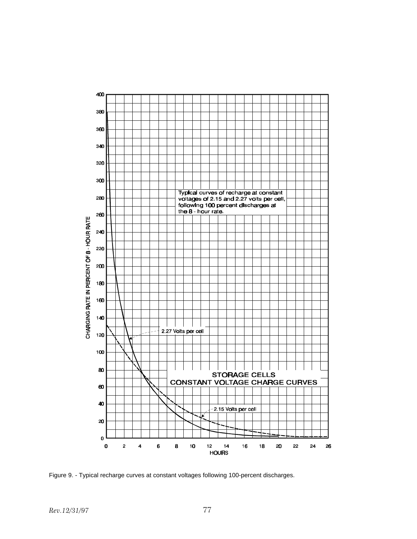

Figure 9. - Typical recharge curves at constant voltages following 100-percent discharges.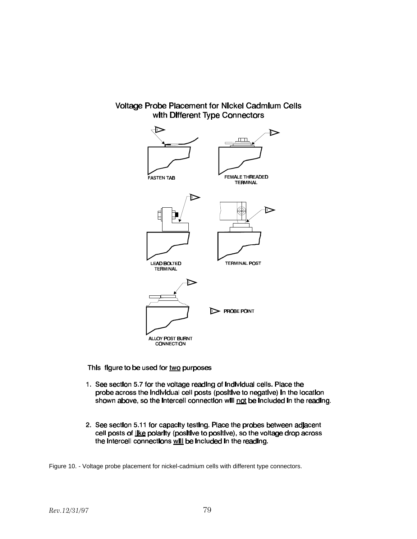## Voltage Probe Placement for Nickel Cadmium Cells with Different Type Connectors



This figure to be used for two purposes

- 1. See section 5.7 for the voltage reading of individual cells. Place the probe across the individual cell posts (positive to negative) in the location shown above, so the intercell connection will not be included in the reading.
- 2. See section 5.11 for capacity testing. Place the probes between adjacent cell posts of like polarity (positive to positive), so the voltage drop across the intercell connections will be included in the reading.

Figure 10. - Voltage probe placement for nickel-cadmium cells with different type connectors.